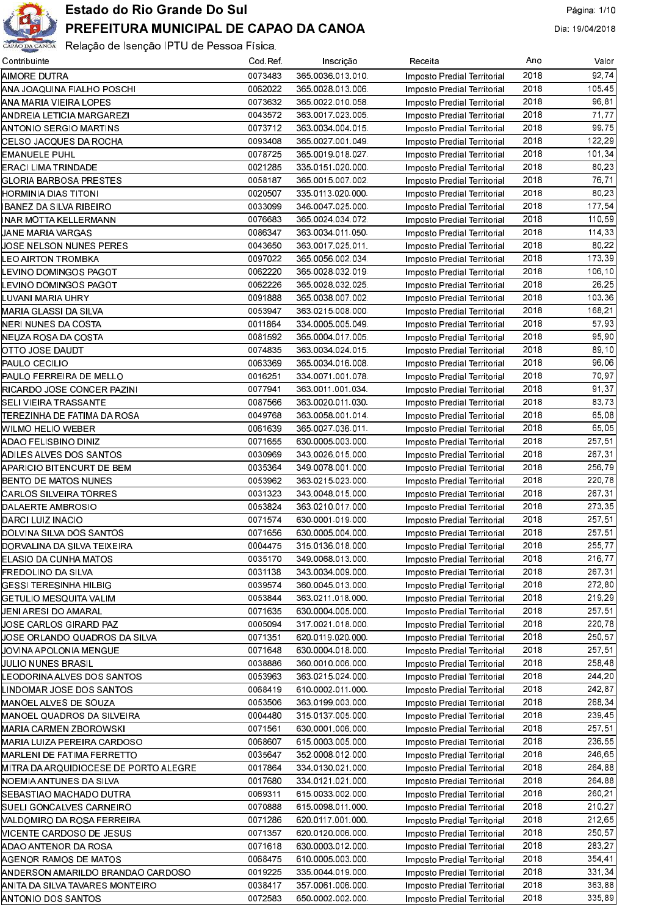

| Contribuinte                          | Cod Ref | Inscrição        | Receita                     | Ano  | Valor  |
|---------------------------------------|---------|------------------|-----------------------------|------|--------|
| AIMORE DUTRA                          | 0073483 | 365 0036 013 010 | Imposto Predial Territorial | 2018 | 92,74  |
| ANA JOAQUINA FIALHO POSCHI            | 0062022 | 365 0028 013 006 | Imposto Predial Territorial | 2018 | 105.45 |
| ANA MARIA VIEIRA LOPES                | 0073632 | 365 0022 010 058 | Imposto Predial Territorial | 2018 | 96.81  |
| ANDREIA LETICIA MARGAREZI             | 0043572 | 363 0017 023 005 | Imposto Predial Territorial | 2018 | 71,77  |
| ANTONIO SERGIO MARTINS                | 0073712 | 363 0034 004 015 | Imposto Predial Territorial | 2018 | 99,75  |
| CELSO JACQUES DA ROCHA                | 0093408 | 365 0027 001 049 | Imposto Predial Territorial | 2018 | 122.29 |
| <b>EMANUELE PUHL</b>                  | 0078725 | 365 0019 018 027 | Imposto Predial Territorial | 2018 | 101,34 |
| ERACI LIMA TRINDADE                   | 0021285 | 335 0151 020 000 | Imposto Predial Territorial | 2018 | 80,23  |
| GLORIA BARBOSA PRESTES                | 0058187 | 365 0015 007 002 | Imposto Predial Territorial | 2018 | 76.71  |
| HORMINIA DIAS TITONI                  | 0020507 | 335 0113 020 000 | Imposto Predial Territorial | 2018 | 80,23  |
|                                       | 0033099 | 346 0047 025 000 |                             | 2018 | 177,54 |
| IBANEZ DA SILVA RIBEIRO               |         |                  | Imposto Predial Territorial |      |        |
| INAR MOTTA KELLERMANN                 | 0076683 | 365 0024 034 072 | Imposto Predial Territorial | 2018 | 110.59 |
| JANE MARIA VARGAS                     | 0086347 | 363 0034 011 050 | Imposto Predial Territorial | 2018 | 114,33 |
| JOSE NELSON NUNES PERES               | 0043650 | 363 0017 025 011 | Imposto Predial Territorial | 2018 | 80,22  |
| LEO AIRTON TROMBKA                    | 0097022 | 365 0056 002 034 | Imposto Predial Territorial | 2018 | 173,39 |
| EVINO DOMINGOS PAGOT.                 | 0062220 | 365 0028 032 019 | Imposto Predial Territorial | 2018 | 106.10 |
| EVINO DOMINGOS PAGOT.                 | 0062226 | 365 0028 032 025 | Imposto Predial Territorial | 2018 | 26.25  |
| LUVANI MARIA UHRY                     | 0091888 | 365 0038 007 002 | Imposto Predial Territorial | 2018 | 103,36 |
| MARIA GLASSI DA SILVA                 | 0053947 | 363 0215 008 000 | Imposto Predial Territorial | 2018 | 168.21 |
| NERI NUNES DA COSTA                   | 0011864 | 334 0005 005 049 | Imposto Predial Territorial | 2018 | 57,93  |
| NEUZA ROSA DA COSTA                   | 0081592 | 365 0004 017 005 | Imposto Predial Territorial | 2018 | 95.90  |
| OTTO JOSE DAUDT                       | 0074835 | 363 0034 024 015 | Imposto Predial Territorial | 2018 | 89.10  |
| PAULO CECILIO                         | 0063369 | 365 0034 016 008 | Imposto Predial Territorial | 2018 | 96.06  |
| PAULO FERREIRA DE MELLO               | 0016251 | 334 0071 001 078 | Imposto Predial Territorial | 2018 | 70.97  |
| RICARDO JOSE CONCER PAZINI            | 0077941 | 363 0011 001 034 |                             | 2018 | 91.37  |
|                                       | 0087566 | 363 0020 011 030 | Imposto Predial Territorial | 2018 | 83.73  |
| SELI VIEIRA TRASSANTE                 |         |                  | Imposto Predial Territorial |      |        |
| ITEREZINHA DE FATIMA DA ROSA          | 0049768 | 363 0058 001 014 | Imposto Predial Territorial | 2018 | 65.08  |
| WILMO HELIO WEBER                     | 0061639 | 365 0027 036 011 | Imposto Predial Territorial | 2018 | 65.05  |
| ADAO FELISBINO DINIZ                  | 0071655 | 630 0005 003 000 | Imposto Predial Territorial | 2018 | 257,51 |
| ADILES ALVES DOS SANTOS               | 0030969 | 343 0026 015 000 | Imposto Predial Territorial | 2018 | 267.31 |
| APARICIO BITENCURT DE BEM             | 0035364 | 349 0078 001 000 | Imposto Predial Territorial | 2018 | 256.79 |
| BENTO DE MATOS NUNES                  | 0053962 | 363 0215 023 000 | Imposto Predial Territorial | 2018 | 220,78 |
| CARLOS SILVEIRA TORRES                | 0031323 | 343 0048 015 000 | Imposto Predial Territorial | 2018 | 267.31 |
| DALAERTE AMBROSIO                     | 0053824 | 363 0210 017 000 | Imposto Predial Territorial | 2018 | 273.35 |
| DARCI LUIZ INACIO                     | 0071574 | 630 0001 019 000 | Imposto Predial Territorial | 2018 | 257,51 |
| DOLVINA SILVA DOS SANTOS              | 0071656 | 630 0005 004 000 | Imposto Predial Territorial | 2018 | 257.51 |
| DORVALINA DA SILVA TEIXEIRA           | 0004475 | 315 0136 018 000 | Imposto Predial Territorial | 2018 | 255,77 |
| ELASIO DA CUNHA MATOS                 | 0035170 | 349 0068 013 000 | Imposto Predial Territorial | 2018 | 216,77 |
| FREDOLINO DA SILVA                    | 0031138 | 343 0034 009 000 | Imposto Predial Territorial | 2018 | 267,31 |
| GESSI TERESINHA HILBIG                | 0039574 | 360 0045 013 000 | Imposto Predial Territorial | 2018 | 272,80 |
| GETULIO MESQUITA VALIM                | 0053844 | 363 0211 018 000 | Imposto Predial Territorial | 2018 | 219,29 |
| JENI ARESI DO AMARAL                  | 0071635 | 630 0004 005 000 | Imposto Predial Territorial | 2018 | 257.51 |
|                                       | 0005094 | 317 0021 018 000 |                             | 2018 | 22078  |
| JOSE CARLOS GIRARD PAZ                |         |                  | Imposto Predial Territorial |      |        |
| JOSE ORLANDO QUADROS DA SILVA         | 0071351 | 620 0119 020 000 | Imposto Predial Territorial | 2018 | 250,57 |
| JOVINA APOLONIA MENGUE                | 0071648 | 630 0004 018 000 | Imposto Predial Territorial | 2018 | 257.51 |
| JULIO NUNES BRASIL                    | 0038886 | 360 0010 006 000 | Imposto Predial Territorial | 2018 | 258,48 |
| LEODORINA ALVES DOS SANTOS            | 0053963 | 363 0215 024 000 | Imposto Predial Territorial | 2018 | 244,20 |
| LINDOMAR JOSE DOS SANTOS              | 0068419 | 610 0002 011 000 | Imposto Predial Territorial | 2018 | 242,87 |
| MANOEL ALVES DE SOUZA                 | 0053506 | 363 0199 003 000 | Imposto Predial Territorial | 2018 | 268,34 |
| MANOEL QUADROS DA SILVEIRA            | 0004480 | 315 0137 005 000 | Imposto Predial Territorial | 2018 | 239,45 |
| MARIA CARMEN ZBOROWSKI                | 0071561 | 630 0001 006 000 | Imposto Predial Territorial | 2018 | 257.51 |
| MARIA LUIZA PEREIRA CARDOSO           | 0068607 | 615 0003 005 000 | Imposto Predial Territorial | 2018 | 236,55 |
| MARLENI DE FATIMA FERRETTO            | 0035647 | 352 0008 012 000 | Imposto Predial Territorial | 2018 | 246,65 |
| MITRA DA ARQUIDIOCESE DE PORTO ALEGRE | 0017864 | 334 0130 021 000 | Imposto Predial Territorial | 2018 | 264 88 |
| NOEMIA ANTUNES DA SILVA               | 0017680 | 334 0121 021 000 | Imposto Predial Territorial | 2018 | 264,88 |
| SEBASTIAO MACHADO DUTRA               | 0069311 | 615 0033 002 000 | Imposto Predial Territorial | 2018 | 260,21 |
| SUELI GONCALVES CARNEIRO              | 0070888 | 615 0098 011 000 | Imposto Predial Territorial | 2018 | 210,27 |
| NALDOMIRO DA ROSA FERREIRA            | 0071286 | 620 0117 001 000 | Imposto Predial Territorial | 2018 | 212,65 |
| <b>NICENTE CARDOSO DE JESUS</b>       | 0071357 | 620 0120 006 000 | Imposto Predial Territorial | 2018 | 250,57 |
|                                       | 0071618 | 630 0003 012 000 | Imposto Predial Territorial | 2018 | 283,27 |
| ADAO ANTENOR DA ROSA                  | 0068475 |                  |                             | 2018 | 354,41 |
| AGENOR RAMOS DE MATOS                 |         | 610 0005 003 000 | Imposto Predial Territorial |      |        |
| ANDERSON AMARILDO BRANDAO CARDOSO     | 0019225 | 335 0044 019 000 | Imposto Predial Territorial | 2018 | 331.34 |
| ANITA DA SILVA TAVARES MONTEIRO       | 0038417 | 357 0061 006 000 | Imposto Predial Territorial | 2018 | 363.88 |
| <b>ANTONIO DOS SANTOS</b>             | 0072583 | 650 0002 002 000 | Imposto Predial Territorial | 2018 | 335,89 |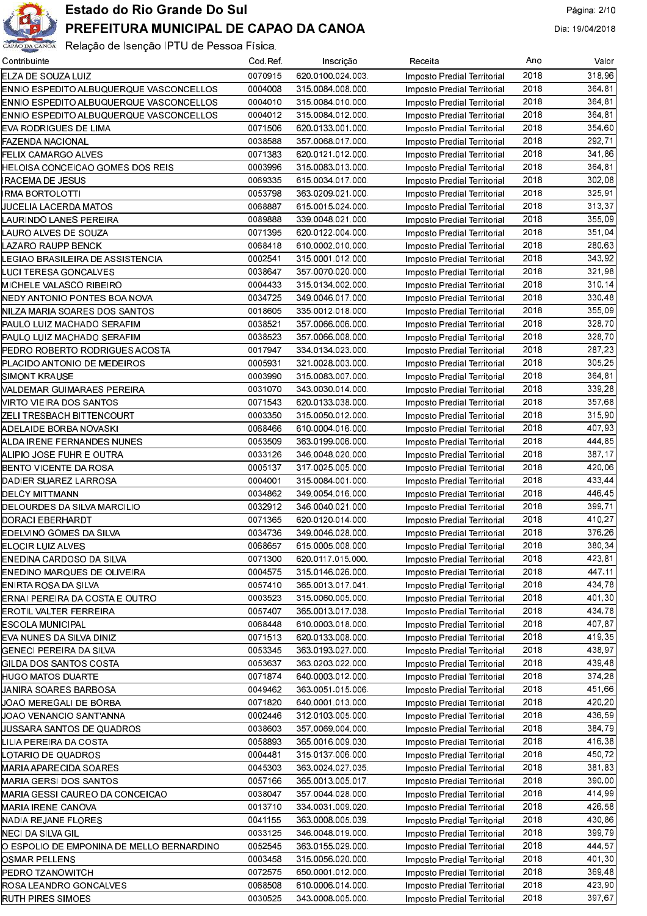

| Contribuinte                              | Cod Ref | Inscrição        | Receita                     | Ano  | Valor   |
|-------------------------------------------|---------|------------------|-----------------------------|------|---------|
| ELZA DE SOUZA LUIZ                        | 0070915 | 620 0100 024 003 | Imposto Predial Territorial | 2018 | 318,96  |
| ENNIO ESPEDITO ALBUQUERQUE VASCONCELLOS   | 0004008 | 315 0084 008 000 | Imposto Predial Territorial | 2018 | 364.81  |
| ENNIO ESPEDITO ALBUQUERQUE VASCONCELLOS   | 0004010 | 315 0084 010 000 | Imposto Predial Territorial | 2018 | 364,81  |
| ENNIO ESPEDITO ALBUQUERQUE VASCONCELLOS   | 0004012 | 315 0084 012 000 | Imposto Predial Territorial | 2018 | 364.81  |
| EVA RODRIGUES DE LIMA                     | 0071506 | 620 0133 001 000 | Imposto Predial Territorial | 2018 | 354,60  |
| <b>FAZENDA NACIONAL</b>                   | 0038588 | 357 0068 017 000 | Imposto Predial Territorial | 2018 | 292,71  |
| FELIX CAMARGO ALVES                       | 0071383 | 620 0121 012 000 | Imposto Predial Territorial | 2018 | 341,86  |
| HELOISA CONCEICAO GOMES DOS REIS          | 0003996 | 315 0083 013 000 | Imposto Predial Territorial | 2018 | 364,81  |
| <b>RACEMA DE JESUS</b>                    | 0069335 | 615 0034 017 000 | Imposto Predial Territorial | 2018 | 302.08  |
| <b>RMA BORTOLOTTI</b>                     | 0053798 | 363 0209 021 000 | Imposto Predial Territorial | 2018 | 325,91  |
| JUCELIA LACERDA MATOS                     | 0068887 | 615 0015 024 000 | Imposto Predial Territorial | 2018 | 313,37  |
| LAURINDO LANES PEREIRA                    | 0089888 | 339 0048 021 000 | Imposto Predial Territorial | 2018 | 355,09  |
| LAURO ALVES DE SOUZA                      | 0071395 | 620 0122 004 000 | Imposto Predial Territorial | 2018 | 351,04  |
| LAZARO RAUPP BENCK                        | 0068418 | 610 0002 010 000 | Imposto Predial Territorial | 2018 | 280,63  |
| LEGIAO BRASILEIRA DE ASSISTENCIA          | 0002541 | 315 0001 012 000 | Imposto Predial Territorial | 2018 | 343.92  |
| LUCI TERESA GONCALVES                     | 0038647 | 357 0070 020 000 | Imposto Predial Territorial | 2018 | 321,98  |
| MICHELE VALASCO RIBEIRO                   | 0004433 | 315 0134 002 000 | Imposto Predial Territorial | 2018 | 310, 14 |
| NEDY ANTONIO PONTES BOA NOVA              | 0034725 | 349 0046 017 000 | Imposto Predial Territorial | 2018 | 330.48  |
| NILZA MARIA SOARES DOS SANTOS             | 0018605 | 335 0012 018 000 | Imposto Predial Territorial | 2018 | 355,09  |
| PAULO LUIZ MACHADO SERAFIM                | 0038521 | 357 0066 006 000 | Imposto Predial Territorial | 2018 | 328,70  |
| PAULO LUIZ MACHADO SERAFIM                | 0038523 | 357 0066 008 000 | Imposto Predial Territorial | 2018 | 328,70  |
| PEDRO ROBERTO RODRIGUES ACOSTA            | 0017947 | 334 0134 023 000 | Imposto Predial Territorial | 2018 | 287,23  |
| PLACIDO ANTONIO DE MEDEIROS               | 0005931 | 321 0028 003 000 | Imposto Predial Territorial | 2018 | 305.25  |
| SIMONT KRAUSE                             | 0003990 | 315 0083 007 000 | Imposto Predial Territorial | 2018 | 364,81  |
| VALDEMAR GUIMARAES PEREIRA                | 0031070 | 343 0030 014 000 | Imposto Predial Territorial | 2018 | 339,28  |
| VIRTO VIEIRA DOS SANTOS                   | 0071543 | 620 0133 038 000 | Imposto Predial Territorial | 2018 | 357,68  |
| ZELI TRESBACH BITTENCOURT                 | 0003350 | 315 0050 012 000 | Imposto Predial Territorial | 2018 | 315,90  |
| ADELAIDE BORBA NOVASKI                    | 0068466 | 610 0004 016 000 | Imposto Predial Territorial | 2018 | 407.93  |
| ALDA IRENE FERNANDES NUNES                | 0053509 | 363 0199 006 000 | Imposto Predial Territorial | 2018 | 444,85  |
| ALIPIO JOSE FUHR E OUTRA                  | 0033126 | 346 0048 020 000 | Imposto Predial Territorial | 2018 | 387,17  |
| BENTO VICENTE DA ROSA                     | 0005137 | 317 0025 005 000 | Imposto Predial Territorial | 2018 | 420.06  |
| DADIER SUAREZ LARROSA                     | 0004001 | 315 0084 001 000 | Imposto Predial Territorial | 2018 | 433,44  |
| DELCY MITTMANN                            | 0034862 | 349 0054 016 000 | Imposto Predial Territorial | 2018 | 446.45  |
| DELOURDES DA SILVA MARCILIO               | 0032912 | 346 0040 021 000 | Imposto Predial Territorial | 2018 | 399,71  |
| DORACI EBERHARDT                          | 0071365 | 620 0120 014 000 | Imposto Predial Territorial | 2018 | 410,27  |
| EDELVINO GOMES DA SILVA                   | 0034736 | 349 0046 028 000 | Imposto Predial Territorial | 2018 | 376,26  |
| ELOCIR LUIZ ALVES                         | 0068657 | 615 0005 008 000 | Imposto Predial Territorial | 2018 | 380,34  |
| ENEDINA CARDOSO DA SILVA                  | 0071300 | 620 0117 015 000 | Imposto Predial Territorial | 2018 | 423,81  |
| ENEDINO MARQUES DE OLIVEIRA               | 0004575 | 315 0146 026 000 | Imposto Predial Territorial | 2018 | 447.11  |
| ENIRTA ROSA DA SILVA                      | 0057410 | 365 0013 017 041 | Imposto Predial Territorial | 2018 | 434.78  |
| ERNAI PEREIRA DA COSTA E OUTRO            | 0003523 | 315 0060 005 000 | Imposto Predial Territorial | 2018 | 401,30  |
| EROTIL VALTER FERREIRA                    | 0057407 | 365 0013 017 038 | Imposto Predial Territorial | 2018 | 434.78  |
| ESCOLA MUNICIPAL                          | 0068448 | 610 0003 018 000 | Imposto Predial Territorial | 2018 | 407.87  |
| EVA NUNES DA SILVA DINIZ                  | 0071513 | 620 0133 008 000 | Imposto Predial Territorial | 2018 | 419.35  |
| GENECI PEREIRA DA SILVA                   | 0053345 | 363 0193 027 000 | Imposto Predial Territorial | 2018 | 438.97  |
| GILDA DOS SANTOS COSTA                    | 0053637 | 363 0203 022 000 | Imposto Predial Territorial | 2018 | 439,48  |
| <b>HUGO MATOS DUARTE</b>                  | 0071874 | 640 0003 012 000 | Imposto Predial Territorial | 2018 | 374.28  |
| JANIRA SOARES BARBOSA                     | 0049462 | 363 0051 015 006 | Imposto Predial Territorial | 2018 | 451,66  |
| UOAO MEREGALI DE BORBA                    | 0071820 | 640 0001 013 000 | Imposto Predial Territorial | 2018 | 420,20  |
| UOAO VENANCIO SANT'ANNA                   | 0002446 | 312 0103 005 000 | Imposto Predial Territorial | 2018 | 436.59  |
| UUSSARA SANTOS DE QUADROS                 | 0038603 | 357 0069 004 000 | Imposto Predial Territorial | 2018 | 384 79  |
| LILIA PEREIRA DA COSTA                    | 0058893 | 365 0016 009 030 | Imposto Predial Territorial | 2018 | 416,38  |
| LOTARIO DE QUADROS                        | 0004481 | 315 0137 006 000 | Imposto Predial Territorial | 2018 | 450.72  |
| <b>MARIA APARECIDA SOARES</b>             | 0045303 | 363 0024 027 035 | Imposto Predial Territorial | 2018 | 381,83  |
| <b>MARIA GERSI DOS SANTOS</b>             | 0057166 | 365 0013 005 017 | Imposto Predial Territorial | 2018 | 390.00  |
| MARIA GESSI CAUREO DA CONCEICAO           | 0038047 | 357 0044 028 000 | Imposto Predial Territorial | 2018 | 414.99  |
| <b>MARIA IRENE CANOVA</b>                 | 0013710 | 334 0031 009 020 | Imposto Predial Territorial | 2018 | 426.58  |
| NADIA REJANE FLORES                       | 0041155 | 363 0008 005 039 | Imposto Predial Territorial | 2018 | 430,86  |
| NECI DA SILVA GIL                         | 0033125 | 346 0048 019 000 | Imposto Predial Territorial | 2018 | 39979   |
| O ESPOLIO DE EMPONINA DE MELLO BERNARDINO | 0052545 | 363 0155 029 000 | Imposto Predial Territorial | 2018 | 444.57  |
| OSMAR PELLENS                             | 0003458 | 315 0056 020 000 | Imposto Predial Territorial | 2018 | 401,30  |
| PEDRO TZANOWITCH                          | 0072575 | 650 0001 012 000 | Imposto Predial Territorial | 2018 | 369.48  |
| ROSA LEANDRO GONCALVES                    | 0068508 | 610 0006 014 000 | Imposto Predial Territorial | 2018 | 423.90  |
| <b>RUTH PIRES SIMOES</b>                  | 0030525 | 343 0008 005 000 | Imposto Predial Territorial | 2018 | 397,67  |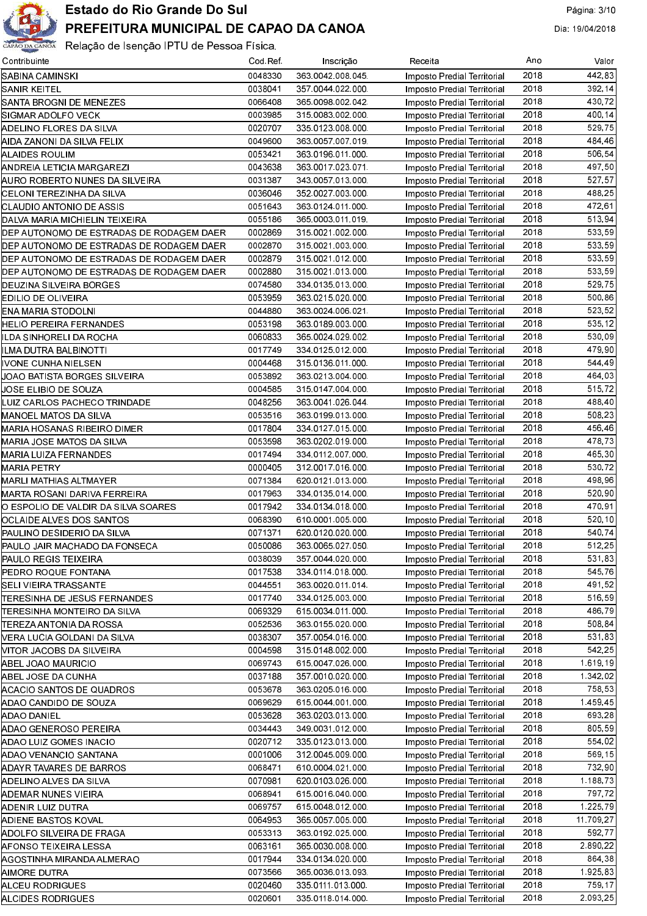

| Contribuinte                             | Cod Ref | Inscrição         | Receita                     | Ano  | Valor              |
|------------------------------------------|---------|-------------------|-----------------------------|------|--------------------|
| SABINA CAMINSKI                          | 0048330 | 363 0042 008 045  | Imposto Predial Territorial | 2018 | 442.83             |
| <b>ISANIR KEITEL</b>                     | 0038041 | 357 0044 022 000  | Imposto Predial Territorial | 2018 | 392,14             |
| SANTA BROGNI DE MENEZES                  | 0066408 | 365 0098 002 042  | Imposto Predial Territorial | 2018 | 430,72             |
| SIGMAR ADOLFO VECK                       | 0003985 | 315 0083 002 000  | Imposto Predial Territorial | 2018 | 400,14             |
| ADELINO FLORES DA SILVA                  | 0020707 | 335 0123 008 000  | Imposto Predial Territorial | 2018 | 529.75             |
| AIDA ZANONI DA SILVA FELIX               | 0049600 | 363 0057 007 019  | Imposto Predial Territorial | 2018 | 484.46             |
| ALAIDES ROULIM                           | 0053421 | 363 0196 011 000. | Imposto Predial Territorial | 2018 | 506.54             |
| ANDREIA LETICIA MARGAREZI                | 0043638 | 363 0017 023 071  | Imposto Predial Territorial | 2018 | 497,50             |
| AURO ROBERTO NUNES DA SILVEIRA           | 0031387 | 343 0057 013 000  | Imposto Predial Territorial | 2018 | 527,57             |
| CELONI TEREZINHA DA SILVA                | 0036046 | 352 0027 003 000  | Imposto Predial Territorial | 2018 | 488,25             |
| ICLAUDIO ANTONIO DE ASSIS                | 0051643 | 363 0124 011 000  | Imposto Predial Territorial | 2018 | 472,61             |
| DALVA MARIA MICHIELIN TEIXEIRA           | 0055186 | 365 0003 011 019  | Imposto Predial Territorial | 2018 | 513,94             |
| DEP AUTONOMO DE ESTRADAS DE RODAGEM DAER | 0002869 | 315 0021 002 000  | Imposto Predial Territorial | 2018 | 533,59             |
| DEP AUTONOMO DE ESTRADAS DE RODAGEM DAER | 0002870 | 315 0021 003 000  | Imposto Predial Territorial | 2018 | 533,59             |
| DEP AUTONOMO DE ESTRADAS DE RODAGEM DAER | 0002879 | 315 0021 012 000  | Imposto Predial Territorial | 2018 | 533,59             |
| DEP AUTONOMO DE ESTRADAS DE RODAGEM DAER | 0002880 | 315 0021 013 000  | Imposto Predial Territorial | 2018 | 533,59             |
| DEUZINA SILVEIRA BORGES                  | 0074580 | 334 0135 013 000  | Imposto Predial Territorial | 2018 | 529,75             |
| EDILIO DE OLIVEIRA                       | 0053959 | 363 0215 020 000  | Imposto Predial Territorial | 2018 | 500,86             |
| ENA MARIA STODOLNI                       | 0044880 | 363 0024 006 021  | Imposto Predial Territorial | 2018 | 523,52             |
| HELIO PEREIRA FERNANDES                  | 0053198 | 363 0189 003 000  | Imposto Predial Territorial | 2018 | 535 12             |
| ILDA SINHORELI DA ROCHA                  | 0060833 | 365 0024 029 002  | Imposto Predial Territorial | 2018 | 530.09             |
| ILMA DUTRA BALBINOTTI                    | 0017749 | 334 0125 012 000  | Imposto Predial Territorial | 2018 | 479,90             |
| IVONE CUNHA NIELSEN                      | 0004468 | 315 0136 011 000  | Imposto Predial Territorial | 2018 | 544.49             |
| UOAO BATISTA BORGES SILVEIRA             | 0053892 | 363 0213 004 000  | Imposto Predial Territorial | 2018 | 464,03             |
| JOSE ELIBIO DE SOUZA                     | 0004585 | 315 0147 004 000  | Imposto Predial Territorial | 2018 | 515,72             |
| LUIZ CARLOS PACHECO TRINDADE             | 0048256 | 363 0041 026 044  | Imposto Predial Territorial | 2018 | 488,40             |
| MANOEL MATOS DA SILVA                    | 0053516 | 363 0199 013 000  | Imposto Predial Territorial | 2018 | 508,23             |
| MARIA HOSANAS RIBEIRO DIMER              | 0017804 | 334 0127 015 000  | Imposto Predial Territorial | 2018 | 456,46             |
| MARIA JOSE MATOS DA SILVA                | 0053598 | 363 0202 019 000  | Imposto Predial Territorial | 2018 | 478,73             |
| MARIA LUIZA FERNANDES                    | 0017494 | 334 0112 007 000  | Imposto Predial Territorial | 2018 | 465,30             |
| <b>MARIA PETRY</b>                       | 0000405 | 312 0017 016 000  | Imposto Predial Territorial | 2018 | 530,72             |
| MARLI MATHIAS ALTMAYER                   | 0071384 | 620 0121 013 000  | Imposto Predial Territorial | 2018 | 498,96             |
| MARTA ROSANI DARIVA FERREIRA             | 0017963 | 334 0135 014 000  | Imposto Predial Territorial | 2018 | 520,90             |
| O ESPOLIO DE VALDIR DA SILVA SOARES      | 0017942 | 334 0134 018 000  | Imposto Predial Territorial | 2018 | 470,91             |
| OCLAIDE ALVES DOS SANTOS                 | 0068390 | 610 0001 005 000  | Imposto Predial Territorial | 2018 | 520.10             |
| PAULINO DESIDERIO DA SILVA               | 0071371 | 620 0120 020 000  | Imposto Predial Territorial | 2018 | 540.74             |
| PAULO JAIR MACHADO DA FONSECA            | 0050086 | 363 0065 027 050  | Imposto Predial Territorial | 2018 | 512.25             |
| PAULO REGIS TEIXEIRA                     | 0038039 | 357 0044 020 000  | Imposto Predial Territorial | 2018 | 531,83             |
| PEDRO ROQUE FONTANA                      | 0017538 | 334 0114 018 000  | Imposto Predial Territorial | 2018 | 545.76             |
| SELI VIEIRA TRASSANTE                    | 0044551 | 363 0020 011 014  | Imposto Predial Territorial | 2018 | 491,52             |
| ITERESINHA DE JESUS FERNANDES            | 0017740 | 334 0125 003 000  | Imposto Predial Territorial | 2018 | 516.59             |
| ITERESINHA MONTEIRO DA SILVA             | 0069329 | 615 0034 011 000  | Imposto Predial Territorial | 2018 | 486.79             |
| [TEREZA ANTONIA DA ROSSA                 | 0052536 | 363 0155 020 000  | Imposto Predial Territorial | 2018 | 508,84             |
| NERA LUCIA GOLDANI DA SILVA              | 0038307 | 357 0054 016 000  | Imposto Predial Territorial | 2018 | 531 83             |
| NITOR JACOBS DA SILVEIRA                 | 0004598 | 315 0148 002 000  | Imposto Predial Territorial | 2018 | 542,25             |
| ABEL JOAO MAURICIO                       | 0069743 | 615 0047 026 000  | Imposto Predial Territorial | 2018 | 1 619 19           |
| ABEL JOSE DA CUNHA                       | 0037188 | 357 0010 020 000  | Imposto Predial Territorial | 2018 | 1 342 02           |
| ACACIO SANTOS DE QUADROS                 | 0053678 | 363 0205 016 000  | Imposto Predial Territorial | 2018 | 758,53             |
| ADAO CANDIDO DE SOUZA                    | 0069629 | 615 0044 001 000  | Imposto Predial Territorial | 2018 | 145945             |
| ADAO DANIEL                              | 0053628 | 363 0203 013 000  | Imposto Predial Territorial | 2018 | 693,28             |
| ADAO GENEROSO PEREIRA                    | 0034443 | 349 0031 012 000  |                             | 2018 | 805.59             |
|                                          | 0020712 | 335 0123 013 000  | Imposto Predial Territorial | 2018 | 554.02             |
| ADAO LUIZ GOMES INACIO                   | 0001006 | 312 0045 009 000  | Imposto Predial Territorial | 2018 | 569.15             |
| ADAO VENANCIO SANTANA                    | 0068471 | 610 0004 021 000  | Imposto Predial Territorial | 2018 | 732,90             |
| ADAYR TAVARES DE BARROS                  |         |                   | Imposto Predial Territorial | 2018 |                    |
| ADELINO ALVES DA SILVA                   | 0070981 | 620 0103 026 000  | Imposto Predial Territorial | 2018 | 1 188 73<br>797,72 |
| ADEMAR NUNES VIEIRA                      | 0068941 | 615 0016 040 000  | Imposto Predial Territorial | 2018 |                    |
| ADENIR LUIZ DUTRA                        | 0069757 | 615 0048 012 000  | Imposto Predial Territorial | 2018 | 1 225 79           |
| ADIENE BASTOS KOVAL                      | 0064953 | 365 0057 005 000  | Imposto Predial Territorial | 2018 | 11 709,27          |
| ADOLFO SILVEIRA DE FRAGA                 | 0053313 | 363 0192 025 000  | Imposto Predial Territorial |      | 592,77             |
| AFONSO TEIXEIRA LESSA                    | 0063161 | 365 0030 008 000  | Imposto Predial Territorial | 2018 | 2.890,22           |
| AGOSTINHA MIRANDA ALMERAO                | 0017944 | 334 0134 020 000  | Imposto Predial Territorial | 2018 | 864,38             |
| AIMORE DUTRA                             | 0073566 | 365 0036 013 093  | Imposto Predial Territorial | 2018 | 1.925,83           |
| <b>ALCEU RODRIGUES</b>                   | 0020460 | 335 0111 013 000  | Imposto Predial Territorial | 2018 | 759.17             |
| ALCIDES RODRIGUES                        | 0020601 | 335 0118 014 000  | Imposto Predial Territorial | 2018 | 2.093.25           |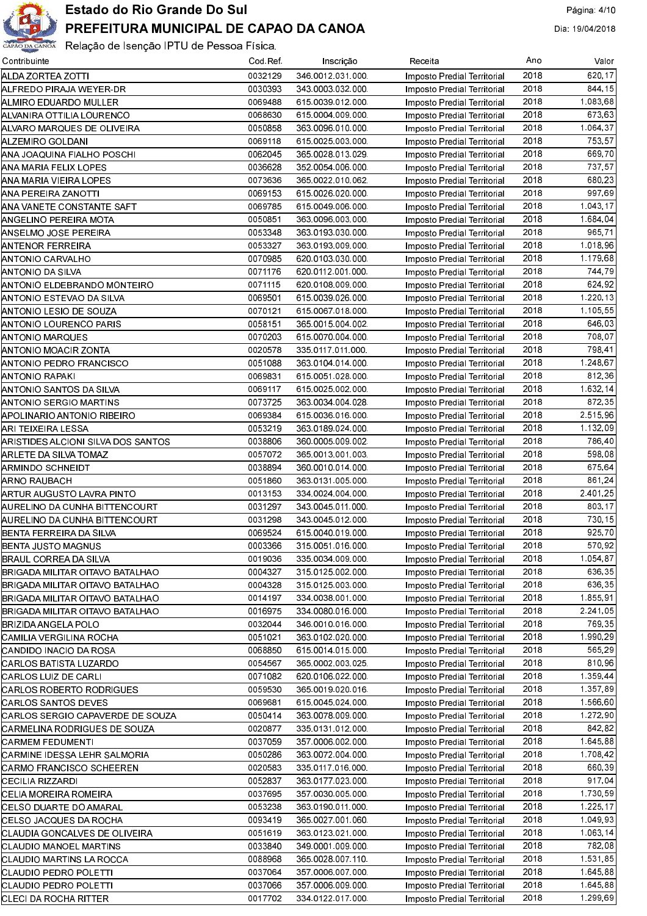

| Contribuinte                       | Cod Ref | Inscrição        | Receita                            | Ano  | Valor                  |
|------------------------------------|---------|------------------|------------------------------------|------|------------------------|
| ALDA ZORTEA ZOTTI                  | 0032129 | 346 0012 031 000 | Imposto Predial Territorial        | 2018 | 620,17                 |
| ALFREDO PIRAJA WEYER-DR            | 0030393 | 343 0003 032 000 | <b>Imposto Predial Territorial</b> | 2018 | 844.15                 |
| ALMIRO EDUARDO MULLER              | 0069488 | 615 0039 012 000 | <b>Imposto Predial Territorial</b> | 2018 | 1.083,68               |
| ALVANIRA OTTILIA LOURENCO          | 0068630 | 615 0004 009 000 | <b>Imposto Predial Territorial</b> | 2018 | 673,63                 |
| ALVARO MARQUES DE OLIVEIRA         | 0050858 | 363 0096 010 000 | <b>Imposto Predial Territorial</b> | 2018 | $\overline{1.064, 37}$ |
| ALZEMIRO GOLDANI                   | 0069118 | 615 0025 003 000 | <b>Imposto Predial Territorial</b> | 2018 | 753,57                 |
| ANA JOAQUINA FIALHO POSCHI         | 0062045 | 365 0028 013 029 | <b>Imposto Predial Territorial</b> | 2018 | 669,70                 |
| ANA MARIA FELIX LOPES              | 0036628 | 352 0054 006 000 | <b>Imposto Predial Territorial</b> | 2018 | 737,57                 |
| ANA MARIA VIEIRA LOPES             | 0073636 | 365 0022 010 062 | <b>Imposto Predial Territorial</b> | 2018 | 680,23                 |
| ANA PEREIRA ZANOTTI                | 0069153 | 615 0026 020 000 | Imposto Predial Territorial        | 2018 | 997,69                 |
| ANA VANETE CONSTANTE SAFT          | 0069785 | 615 0049 006 000 | <b>Imposto Predial Territorial</b> | 2018 | 1.043, 17              |
| ANGELINO PEREIRA MOTA              | 0050851 | 363 0096 003 000 | <b>Imposto Predial Territorial</b> | 2018 | 1.684,04               |
| ANSELMO JOSE PEREIRA               | 0053348 | 363 0193 030 000 | <b>Imposto Predial Territorial</b> | 2018 | 965.71                 |
| ANTENOR FERREIRA                   | 0053327 | 363 0193 009 000 |                                    | 2018 | 1.018,96               |
| ANTONIO CARVALHO                   | 0070985 | 620 0103 030 000 | Imposto Predial Territorial        | 2018 | 1.179,68               |
|                                    | 0071176 |                  | Imposto Predial Territorial        | 2018 | 744.79                 |
| ANTONIO DA SILVA                   |         | 620 0112 001 000 | Imposto Predial Territorial        |      |                        |
| ANTONIO ELDEBRANDO MONTEIRO        | 0071115 | 620 0108 009 000 | Imposto Predial Territorial        | 2018 | 624.92                 |
| IANTONIO ESTEVAO DA SILVA          | 0069501 | 615 0039 026 000 | Imposto Predial Territorial        | 2018 | 1.220, 13              |
| ANTONIO LESIO DE SOUZA             | 0070121 | 615 0067 018 000 | Imposto Predial Territorial        | 2018 | 1.105,55               |
| ANTONIO LOURENCO PARIS             | 0058151 | 365 0015 004 002 | Imposto Predial Territorial        | 2018 | 646,03                 |
| ANTONIO MARQUES                    | 0070203 | 615 0070 004 000 | Imposto Predial Territorial        | 2018 | 708,07                 |
| ANTONIO MOACIR ZONTA               | 0020578 | 335 0117 011 000 | Imposto Predial Territorial        | 2018 | 798,41                 |
| ANTONIO PEDRO FRANCISCO            | 0051088 | 363 0104 014 000 | Imposto Predial Territorial        | 2018 | 1.248,67               |
| ANTONIO RAPAKI                     | 0069831 | 615 0051 028 000 | Imposto Predial Territorial        | 2018 | 812,36                 |
| ANTONIO SANTOS DA SILVA            | 0069117 | 615 0025 002 000 | Imposto Predial Territorial        | 2018 | 1.632.14               |
| ANTONIO SERGIO MARTINS             | 0073725 | 363 0034 004 028 | Imposto Predial Territorial        | 2018 | 872.35                 |
| APOLINARIO ANTONIO RIBEIRO         | 0069384 | 615 0036 016 000 | Imposto Predial Territorial        | 2018 | 2.515,96               |
| ARI TEIXEIRA LESSA                 | 0053219 | 363 0189 024 000 | Imposto Predial Territorial        | 2018 | 1.132,09               |
| ARISTIDES ALCIONI SILVA DOS SANTOS | 0038806 | 360 0005 009 002 | Imposto Predial Territorial        | 2018 | 786,40                 |
| ARLETE DA SILVA TOMAZ              | 0057072 | 365 0013 001 003 | Imposto Predial Territorial        | 2018 | 598,08                 |
| ARMINDO SCHNEIDT                   | 0038894 | 360 0010 014 000 | Imposto Predial Territorial        | 2018 | 675.64                 |
| ARNO RAUBACH                       | 0051860 | 363 0131 005 000 | Imposto Predial Territorial        | 2018 | 861,24                 |
| ARTUR AUGUSTO LAVRA PINTO          | 0013153 | 334 0024 004 000 | Imposto Predial Territorial        | 2018 | 2.401.25               |
| AURELINO DA CUNHA BITTENCOURT      | 0031297 | 343 0045 011 000 | Imposto Predial Territorial        | 2018 | 803.17                 |
| AURELINO DA CUNHA BITTENCOURT      | 0031298 | 343 0045 012 000 | Imposto Predial Territorial        | 2018 | 730,15                 |
| BENTA FERREIRA DA SILVA            | 0069524 | 615 0040 019 000 | <b>Imposto Predial Territorial</b> | 2018 | 925,70                 |
| <b>BENTA JUSTO MAGNUS</b>          | 0003366 | 315 0051 016 000 | Imposto Predial Territorial        | 2018 | 570,92                 |
| BRAUL CORREA DA SILVA              | 0019036 | 335 0034 009 000 | Imposto Predial Territorial        | 2018 | 1 054 87               |
| BRIGADA MILITAR OITAVO BATALHAO    | 0004327 | 315 0125 002 000 | Imposto Predial Territorial        | 2018 | 636,35                 |
| BRIGADA MILITAR OITAVO BATALHAO    | 0004328 | 315 0125 003 000 | Imposto Predial Territorial        | 2018 | 636,35                 |
| BRIGADA MILITAR OITAVO BATALHAO    | 0014197 | 334 0038 001 000 | Imposto Predial Territorial        | 2018 | 1 855,91               |
| BRIGADA MILITAR OITAVO BATALHAO    | 0016975 | 334 0080 016 000 | Imposto Predial Territorial        | 2018 | 2.241.05               |
| BRIZIDA ANGELA POLO                | 0032044 | 346 0010 016 000 | Imposto Predial Territorial        | 2018 | 769,35                 |
| ICAMILIA VERGILINA ROCHA           | 0051021 | 363 0102 020 000 | Imposto Predial Territorial        | 2018 | 1.990,29               |
| CANDIDO INACIO DA ROSA             | 0068850 | 615 0014 015 000 | Imposto Predial Territorial        | 2018 | 565,29                 |
| CARLOS BATISTA LUZARDO             | 0054567 | 365 0002 003 025 | Imposto Predial Territorial        | 2018 | 810,96                 |
| CARLOS LUIZ DE CARLI               | 0071082 | 620 0106 022 000 |                                    | 2018 | 1.359,44               |
|                                    | 0059530 | 365 0019 020 016 | Imposto Predial Territorial        | 2018 | 1 357 89               |
| CARLOS ROBERTO RODRIGUES           |         |                  | Imposto Predial Territorial        | 2018 | 1.566,60               |
| CARLOS SANTOS DEVES                | 0069681 | 615 0045 024 000 | Imposto Predial Territorial        |      | 1.272,90               |
| ICARLOS SERGIO CAPAVERDE DE SOUZA  | 0050414 | 363 0078 009 000 | Imposto Predial Territorial        | 2018 |                        |
| CARMELINA RODRIGUES DE SOUZA       | 0020877 | 335 0131 012 000 | Imposto Predial Territorial        | 2018 | 842.82                 |
| CARMEM FEDUMENTI                   | 0037059 | 357 0006 002 000 | Imposto Predial Territorial        | 2018 | 1.645.88               |
| CARMINE IDESSA LEHR SALMORIA       | 0050286 | 363 0072 004 000 | Imposto Predial Territorial        | 2018 | 1.708.42               |
| CARMO FRANCISCO SCHEEREN           | 0020583 | 335 0117 016 000 | Imposto Predial Territorial        | 2018 | 660,39                 |
| CECILIA RIZZARDI                   | 0052837 | 363 0177 023 000 | Imposto Predial Territorial        | 2018 | 917,04                 |
| ICELIA MOREIRA ROMEIRA             | 0037695 | 357 0030 005 000 | Imposto Predial Territorial        | 2018 | 1 730 59               |
| <b>CELSO DUARTE DO AMARAL</b>      | 0053238 | 363 0190 011 000 | Imposto Predial Territorial        | 2018 | 1.225,17               |
| ICELSO JACQUES DA ROCHA            | 0093419 | 365 0027 001 060 | Imposto Predial Territorial        | 2018 | 1.049.93               |
| CLAUDIA GONCALVES DE OLIVEIRA      | 0051619 | 363 0123 021 000 | Imposto Predial Territorial        | 2018 | 1.063, 14              |
| CLAUDIO MANOEL MARTINS             | 0033840 | 349 0001 009 000 | Imposto Predial Territorial        | 2018 | 782,08                 |
| CLAUDIO MARTINS LA ROCCA           | 0088968 | 365 0028 007 110 | Imposto Predial Territorial        | 2018 | 1.531,85               |
| CLAUDIO PEDRO POLETTI              | 0037064 | 357 0006 007 000 | Imposto Predial Territorial        | 2018 | 1.645.88               |
| ICLAUDIO PEDRO POLETTI             | 0037066 | 357 0006 009 000 | <b>Imposto Predial Territorial</b> | 2018 | 1 645 88               |
| <b>CLECI DA ROCHA RITTER</b>       | 0017702 | 334 0122 017 000 | Imposto Predial Territorial        | 2018 | 1.299,69               |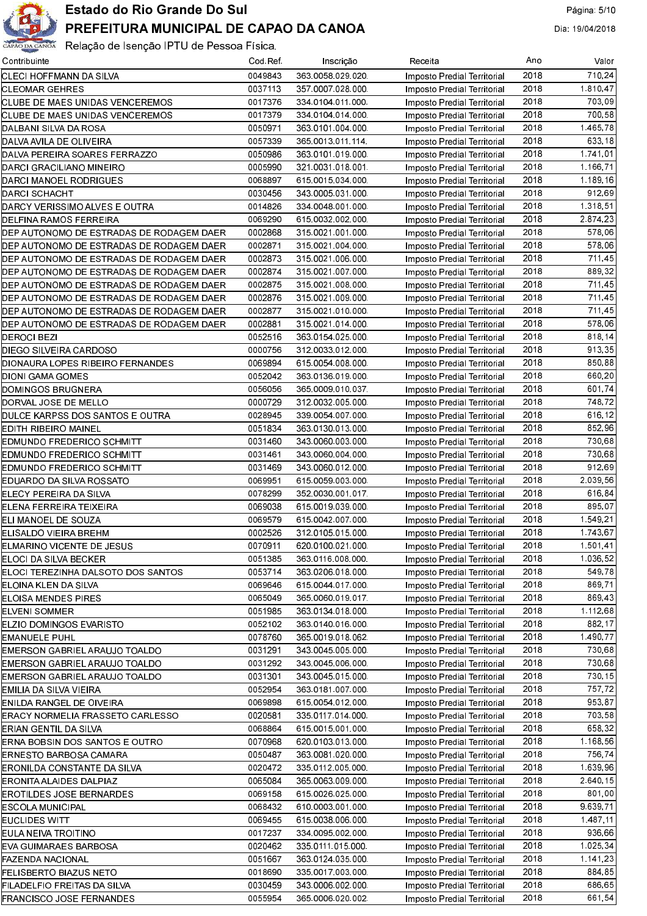

| Contribuinte                             | Cod Ref | Inscrição        | Receita                     | Ano  | Valor                 |
|------------------------------------------|---------|------------------|-----------------------------|------|-----------------------|
| CLECI HOFFMANN DA SILVA                  | 0049843 | 363 0058 029 020 | Imposto Predial Territorial | 2018 | 710,24                |
| CLEOMAR GEHRES                           | 0037113 | 357 0007 028 000 | Imposto Predial Territorial | 2018 | 1 810 47              |
| CLUBE DE MAES UNIDAS VENCEREMOS          | 0017376 | 334 0104 011 000 | Imposto Predial Territorial | 2018 | 703,09                |
| CLUBE DE MAES UNIDAS VENCEREMOS          | 0017379 | 334 0104 014 000 | Imposto Predial Territorial | 2018 | 700,58                |
| DALBANI SILVA DA ROSA                    | 0050971 | 363 0101 004 000 | Imposto Predial Territorial | 2018 | 1.465.78              |
| DALVA AVILA DE OLIVEIRA                  | 0057339 | 365 0013 011 114 | Imposto Predial Territorial | 2018 | 633.18                |
| DALVA PEREIRA SOARES FERRAZZO            | 0050986 | 363 0101 019 000 | Imposto Predial Territorial | 2018 | 1 741 01              |
| DARCI GRACILIANO MINEIRO                 | 0005990 | 321 0031 018 001 | Imposto Predial Territorial | 2018 | 1.166.71              |
| DARCI MANOEL RODRIGUES                   | 0068897 | 615 0015 034 000 | Imposto Predial Territorial | 2018 | 1.189,16              |
| DARCI SCHACHT                            | 0030456 | 343 0005 031 000 | Imposto Predial Territorial | 2018 | 912,69                |
| DARCY VERISSIMO ALVES E OUTRA            | 0014826 | 334 0048 001 000 | Imposto Predial Territorial | 2018 | 1.318,51              |
| DELFINA RAMOS FERREIRA                   | 0069290 | 615 0032 002 000 | Imposto Predial Territorial | 2018 | $\overline{2.874,23}$ |
| DEP AUTONOMO DE ESTRADAS DE RODAGEM DAER | 0002868 | 315 0021 001 000 | Imposto Predial Territorial | 2018 | $\frac{1}{578}$ ,06   |
| DEP AUTONOMO DE ESTRADAS DE RODAGEM DAER | 0002871 | 315 0021 004 000 |                             | 2018 | 578,06                |
|                                          |         | 315 0021 006 000 | Imposto Predial Territorial | 2018 | 711,45                |
| DEP AUTONOMO DE ESTRADAS DE RODAGEM DAER | 0002873 |                  | Imposto Predial Territorial |      |                       |
| DEP AUTONOMO DE ESTRADAS DE RODAGEM DAER | 0002874 | 315 0021 007 000 | Imposto Predial Territorial | 2018 | 889.32                |
| DEP AUTONOMO DE ESTRADAS DE RODAGEM DAER | 0002875 | 315 0021 008 000 | Imposto Predial Territorial | 2018 | 711,45                |
| DEP AUTONOMO DE ESTRADAS DE RODAGEM DAER | 0002876 | 315 0021 009 000 | Imposto Predial Territorial | 2018 | 711,45                |
| DEP AUTONOMO DE ESTRADAS DE RODAGEM DAER | 0002877 | 315 0021 010 000 | Imposto Predial Territorial | 2018 | 711,45                |
| DEP AUTONOMO DE ESTRADAS DE RODAGEM DAER | 0002881 | 315 0021 014 000 | Imposto Predial Territorial | 2018 | 578,06                |
| <b>DEROCI BEZI</b>                       | 0052516 | 363 0154 025 000 | Imposto Predial Territorial | 2018 | 818, 14               |
| DIEGO SILVEIRA CARDOSO                   | 0000756 | 312 0033 012 000 | Imposto Predial Territorial | 2018 | 913.35                |
| DIONAURA LOPES RIBEIRO FERNANDES         | 0069894 | 615 0054 008 000 | Imposto Predial Territorial | 2018 | 850,88                |
| DIONI GAMA GOMES                         | 0052042 | 363 0136 019 000 | Imposto Predial Territorial | 2018 | 660,20                |
| DOMINGOS BRUGNERA                        | 0056056 | 365 0009 010 037 | Imposto Predial Territorial | 2018 | 601,74                |
| DORVAL JOSE DE MELLO                     | 0000729 | 312 0032 005 000 | Imposto Predial Territorial | 2018 | 748.72                |
| DULCE KARPSS DOS SANTOS E OUTRA          | 0028945 | 339 0054 007 000 | Imposto Predial Territorial | 2018 | 616, 12               |
| EDITH RIBEIRO MAINEL                     | 0051834 | 363 0130 013 000 | Imposto Predial Territorial | 2018 | 852.96                |
| EDMUNDO FREDERICO SCHMITT                | 0031460 | 343 0060 003 000 | Imposto Predial Territorial | 2018 | 730,68                |
| EDMUNDO FREDERICO SCHMITT                | 0031461 | 343 0060 004 000 | Imposto Predial Territorial | 2018 | 730,68                |
| EDMUNDO FREDERICO SCHMITT                | 0031469 | 343 0060 012 000 | Imposto Predial Territorial | 2018 | 912,69                |
| EDUARDO DA SILVA ROSSATO                 | 0069951 | 615 0059 003 000 | Imposto Predial Territorial | 2018 | 2.039,56              |
| ELECY PEREIRA DA SILVA                   | 0078299 | 352 0030 001 017 | Imposto Predial Territorial | 2018 | 616,84                |
| <b>IELENA FERREIRA TEIXEIRA</b>          | 0069038 | 615 0019 039 000 | Imposto Predial Territorial | 2018 | 895,07                |
| ELI MANOEL DE SOUZA                      | 0069579 | 615 0042 007 000 | Imposto Predial Territorial | 2018 | 1.549.21              |
| ELISALDO VIEIRA BREHM                    | 0002526 | 312 0105 015 000 | Imposto Predial Territorial | 2018 | 1.743.67              |
| ELMARINO VICENTE DE JESUS                | 0070911 | 620 0100 021 000 | Imposto Predial Territorial | 2018 | 1.501, 41             |
| ELOCI DA SILVA BECKER                    | 0051385 | 363 0116 008 000 | Imposto Predial Territorial | 2018 | 1 036,52              |
| IELOCI TEREZINHA DALSOTO DOS SANTOS      | 0053714 | 363 0206 018 000 | Imposto Predial Territorial | 2018 | 549.78                |
| ELOINA KLEN DA SILVA                     | 0069646 | 615 0044 017 000 | Imposto Predial Territorial | 2018 | 869,71                |
| ELOISA MENDES PIRES                      | 0065049 | 365 0060 019 017 | Imposto Predial Territorial | 2018 | 869.43                |
| ELVENI SOMMER                            | 0051985 | 363 0134 018 000 |                             | 2018 | 1.112,68              |
|                                          | 0052102 | 363 0140 016 000 | Imposto Predial Territorial | 2018 | 882,17                |
| IELZIO DOMINGOS EVARISTO                 |         | 365 0019 018 062 | Imposto Predial Territorial | 2018 |                       |
| <b>IEMANUELE PUHL</b>                    | 0078760 |                  | Imposto Predial Territorial |      | 1490,77               |
| EMERSON GABRIEL ARAUJO TOALDO            | 0031291 | 343 0045 005 000 | Imposto Predial Territorial | 2018 | 730,68                |
| EMERSON GABRIEL ARAUJO TOALDO            | 0031292 | 343 0045 006 000 | Imposto Predial Territorial | 2018 | 730.68                |
| EMERSON GABRIEL ARAUJO TOALDO            | 0031301 | 343 0045 015 000 | Imposto Predial Territorial | 2018 | 730.15                |
| EMILIA DA SILVA VIEIRA                   | 0052954 | 363 0181 007 000 | Imposto Predial Territorial | 2018 | 757,72                |
| ENILDA RANGEL DE OIVEIRA                 | 0069898 | 615 0054 012 000 | Imposto Predial Territorial | 2018 | 953.87                |
| ERACY NORMELIA FRASSETO CARLESSO         | 0020581 | 335 0117 014 000 | Imposto Predial Territorial | 2018 | 703.58                |
| <b>IERIAN GENTIL DA SILVA</b>            | 0068864 | 615 0015 001 000 | Imposto Predial Territorial | 2018 | 658.32                |
| IERNA BOBSIN DOS SANTOS E OUTRO          | 0070968 | 620 0103 013 000 | Imposto Predial Territorial | 2018 | 1.168,56              |
| ERNESTO BARBOSA CAMARA                   | 0050487 | 363 0081 020 000 | Imposto Predial Territorial | 2018 | 756.74                |
| ERONILDA CONSTANTE DA SILVA              | 0020472 | 335 0112 005 000 | Imposto Predial Territorial | 2018 | 1.639,96              |
| ERONITA ALAIDES DALPIAZ                  | 0065084 | 365 0063 009 000 | Imposto Predial Territorial | 2018 | 2,640,15              |
| <b>EROTILDES JOSE BERNARDES</b>          | 0069158 | 615 0026 025 000 | Imposto Predial Territorial | 2018 | 801,00                |
| <b>ESCOLA MUNICIPAL</b>                  | 0068432 | 610 0003 001 000 | Imposto Predial Territorial | 2018 | 9.639,71              |
| EUCLIDES WITT                            | 0069455 | 615 0038 006 000 | Imposto Predial Territorial | 2018 | 1,487,11              |
| EULA NEIVA TROITINO                      | 0017237 | 334 0095 002 000 | Imposto Predial Territorial | 2018 | 936,66                |
| IEVA GUIMARAES BARBOSA                   | 0020462 | 335 0111 015 000 | Imposto Predial Territorial | 2018 | 1.025, 34             |
| FAZENDA NACIONAL                         | 0051667 | 363 0124 035 000 | Imposto Predial Territorial | 2018 | 1.141,23              |
| FELISBERTO BIAZUS NETO                   | 0018690 | 335 0017 003 000 | Imposto Predial Territorial | 2018 | 884,85                |
| FILADELFIO FREITAS DA SILVA              | 0030459 | 343 0006 002 000 | Imposto Predial Territorial | 2018 | 686.65                |
| <b>FRANCISCO JOSE FERNANDES</b>          | 0055954 | 365 0006 020 002 | Imposto Predial Territorial | 2018 | 661,54                |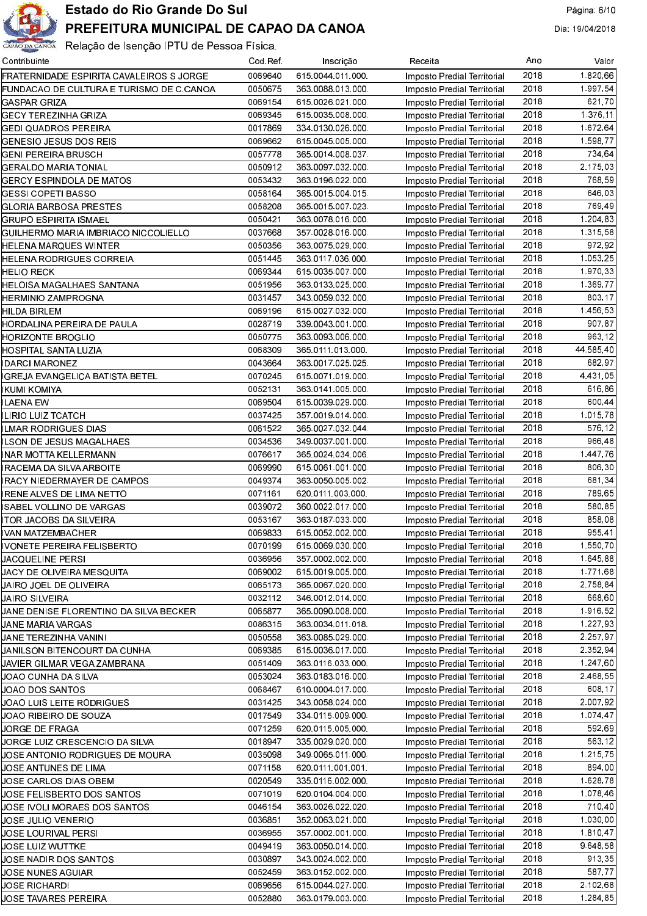

| Contribuinte                             | Cod Ref | Inscrição         | Receita                     | Ano  | Valor       |
|------------------------------------------|---------|-------------------|-----------------------------|------|-------------|
| FRATERNIDADE ESPIRITA CAVALEIROS S JORGE | 0069640 | 615 0044 011 000  | Imposto Predial Territorial | 2018 | 1.820.66    |
| FUNDACAO DE CULTURA E TURISMO DE C CANOA | 0050675 | 363 0088 013 000  | Imposto Predial Territorial | 2018 | 1 997 54    |
| GASPAR GRIZA                             | 0069154 | 615 0026 021 000  | Imposto Predial Territorial | 2018 | 621.70      |
| GECY TEREZINHA GRIZA                     | 0069345 | 615 0035 008 000  | Imposto Predial Territorial | 2018 | 1.376.11    |
| GEDI QUADROS PEREIRA                     | 0017869 | 334 0130 026 000  | Imposto Predial Territorial | 2018 | 1 672 64    |
| GENESIO JESUS DOS REIS                   | 0069662 | 615 0045 005 000  | Imposto Predial Territorial | 2018 | 1.598.77    |
| GENI PEREIRA BRUSCH                      | 0057778 | 365 0014 008 037  | Imposto Predial Territorial | 2018 | 734,64      |
| GERALDO MARIA TONIAL                     | 0050912 | 363 0097 032 000  | Imposto Predial Territorial | 2018 | 2.175.03    |
| <b>GERCY ESPINDOLA DE MATOS</b>          | 0053432 | 363 0196 022 000  | Imposto Predial Territorial | 2018 | 768.59      |
| <b>GESSI COPETI BASSO</b>                | 0058164 | 365 0015 004 015  | Imposto Predial Territorial | 2018 | 646.03      |
| GLORIA BARBOSA PRESTES                   | 0058208 | 365 0015 007 023  | Imposto Predial Territorial | 2018 | 769.49      |
| GRUPO ESPIRITA ISMAEL                    | 0050421 | 363 0078 016 000  | Imposto Predial Territorial | 2018 | 1.204.83    |
| GUILHERMO MARIA IMBRIACO NICCOLIELLO     | 0037668 | 357 0028 016 000  | Imposto Predial Territorial | 2018 | 1.315.58    |
| HELENA MARQUES WINTER                    | 0050356 | 363 0075 029 000  | Imposto Predial Territorial | 2018 | 972 92      |
| HELENA RODRIGUES CORREIA                 | 0051445 | 363 0117 036 000  | Imposto Predial Territorial | 2018 | 1.053.25    |
| <b>HELIO RECK</b>                        | 0069344 | 615 0035 007 000  | Imposto Predial Territorial | 2018 | 1.970.33    |
| HELOISA MAGALHAES SANTANA                | 0051956 | 363 0133 025 000  | Imposto Predial Territorial | 2018 | 1.369.77    |
| HERMINIO ZAMPROGNA                       | 0031457 | 343 0059 032 000  | Imposto Predial Territorial | 2018 | 803.17      |
| HILDA BIRLEM                             | 0069196 | 615 0027 032 000  | Imposto Predial Territorial | 2018 | 1.456.53    |
| HORDALINA PEREIRA DE PAULA               | 0028719 | 339 0043 001 000  | Imposto Predial Territorial | 2018 | 907.87      |
| HORIZONTE BROGLIO                        | 0050775 | 363 0093 006 000  | Imposto Predial Territorial | 2018 | 963.12      |
| HOSPITAL SANTA LUZIA                     | 0068309 | 365 0111 013 000  | Imposto Predial Territorial | 2018 | 44 585 40   |
| <b>IDARCI MARONEZ</b>                    | 0043664 | 363 0017 025 025  | Imposto Predial Territorial | 2018 | 682.97      |
| IGREJA EVANGELICA BATISTA BETEL          | 0070245 | 615 0071 019 000  | Imposto Predial Territorial | 2018 | 4 4 3 1 0 5 |
| IKUMI KOMIYA                             | 0052131 | 363 0141 005 000  | Imposto Predial Territorial | 2018 | 616.86      |
| ILAENA EW                                | 0069504 | 615 0039 029 000  | Imposto Predial Territorial | 2018 | 600.44      |
| ILIRIO LUIZ TCATCH                       | 0037425 | 357 0019 014 000  | Imposto Predial Territorial | 2018 | 1.015.78    |
| ILMAR RODRIGUES DIAS                     | 0061522 | 365 0027 032 044  | Imposto Predial Territorial | 2018 | 576.12      |
| ILSON DE JESUS MAGALHAES                 | 0034536 | 349 0037 001 000  | Imposto Predial Territorial | 2018 | 966.48      |
| INAR MOTTA KELLERMANN                    | 0076617 | 365 0024 034 006  | Imposto Predial Territorial | 2018 | 1.447.76    |
| IRACEMA DA SILVA ARBOITE                 | 0069990 | 615 0061 001 000  | Imposto Predial Territorial | 2018 | 806.30      |
| <b>IRACY NIEDERMAYER DE CAMPOS</b>       | 0049374 | 363 0050 005 002  | Imposto Predial Territorial | 2018 | 681,34      |
| IRENE ALVES DE LIMA NETTO                | 0071161 | 620 0111 003 000  | Imposto Predial Territorial | 2018 | 789.65      |
| ISABEL VOLLINO DE VARGAS                 | 0039072 | 360 0022 017 000  | Imposto Predial Territorial | 2018 | 580.85      |
| ITOR JACOBS DA SILVEIRA                  | 0053167 | 363 0187 033 000  | Imposto Predial Territorial | 2018 | 858.08      |
| IVAN MATZEMBACHER                        | 0069833 | 615 0052 002 000  | Imposto Predial Territorial | 2018 | 955.41      |
| IVONETE PEREIRA FELISBERTO               | 0070199 | 615 0069 030 000  | Imposto Predial Territorial | 2018 | 1.550.70    |
| <b>JACQUELINE PERSI</b>                  | 0036956 | 357 0002 002 000  | Imposto Predial Territorial | 2018 | 1.645,88    |
| µACY DE OLIVEIRA MESQUITA                | 0069002 | 615 0019 005 000  | Imposto Predial Territorial | 2018 | 1.771,68    |
| JAIRO JOEL DE OLIVEIRA                   | 0065173 | 365 0067 020 000  | Imposto Predial Territorial | 2018 | 2.758,84    |
| JAIRO SILVEIRA                           | 0032112 | 346 0012 014 000  | Imposto Predial Territorial | 2018 | 668.60      |
| JANE DENISE FLORENTINO DA SILVA BECKER   | 0065877 | 365 0090 008 000  | Imposto Predial Territorial | 2018 | 1.916,52    |
| JANE MARIA VARGAS                        | 0086315 | 363 0034 011 018  | Imposto Predial Territorial | 2018 | 1.227,93    |
| JANE TEREZINHA VANINI                    | 0050558 | 363 0085 029 000  | Imposto Predial Territorial | 2018 | 2 2 5 7 9 7 |
| JANILSON BITENCOURT DA CUNHA             | 0069385 | 615 0036 017 000  | Imposto Predial Territorial | 2018 | 2.352.94    |
| JAVIER GILMAR VEGA ZAMBRANA              | 0051409 | 363 0116 033 000  | Imposto Predial Territorial | 2018 | 1.247,60    |
| JOAO CUNHA DA SILVA                      | 0053024 | 363 0183 016 000  | Imposto Predial Territorial | 2018 | 2.468.55    |
| JOAO DOS SANTOS                          | 0068467 | 610.0004.017.000  | Imposto Predial Territorial | 2018 | 608.17      |
| JOAO LUIS LEITE RODRIGUES                | 0031425 | 343 0058 024 000  | Imposto Predial Territorial | 2018 | 2.007.92    |
| JOAO RIBEIRO DE SOUZA                    | 0017549 | 334 0115 009 000  | Imposto Predial Territorial | 2018 | 1.074.47    |
| JORGE DE FRAGA                           | 0071259 | 620 0115 005 000  | Imposto Predial Territorial | 2018 | 592.69      |
| JORGE LUIZ CRESCENCIO DA SILVA           | 0018947 | 335 0029 020 000  | Imposto Predial Territorial | 2018 | 563.12      |
| JOSE ANTONIO RODRIGUES DE MOURA          | 0035098 | 349 0065 011 000  | Imposto Predial Territorial | 2018 | 1 215 75    |
| JOSE ANTUNES DE LIMA                     | 0071158 | 620.0111.001.001. | Imposto Predial Territorial | 2018 | 894.00      |
| JOSE CARLOS DIAS OBEM                    | 0020549 | 335 0116 002 000  | Imposto Predial Territorial | 2018 | 1.628.78    |
| JOSE FELISBERTO DOS SANTOS               | 0071019 | 620 0104 004 000  | Imposto Predial Territorial | 2018 | 1 078 46    |
| JOSE IVOLI MORAES DOS SANTOS             | 0046154 | 363 0026 022 020  | Imposto Predial Territorial | 2018 | 710.40      |
| JOSE JULIO VENERIO                       | 0036851 | 352 0063 021 000  | Imposto Predial Territorial | 2018 | 1.030.00    |
| JOSE LOURIVAL PERSI                      | 0036955 | 357 0002 001 000  | Imposto Predial Territorial | 2018 | 1 810 47    |
| JOSE LUIZ WUTTKE                         | 0049419 | 363 0050 014 000  | Imposto Predial Territorial | 2018 | 9.648.58    |
| JOSE NADIR DOS SANTOS                    | 0030897 | 343 0024 002 000  | Imposto Predial Territorial | 2018 | 913.35      |
| JOSE NUNES AGUIAR                        | 0052459 | 363 0152 002 000  | Imposto Predial Territorial | 2018 | 587,77      |
| JOSE RICHARDI                            | 0069656 | 615 0044 027 000  | Imposto Predial Territorial | 2018 | 2.102,68    |
| JOSE TAVARES PEREIRA                     | 0052880 | 363 0179 003 000  | Imposto Predial Territorial | 2018 | 1.284,85    |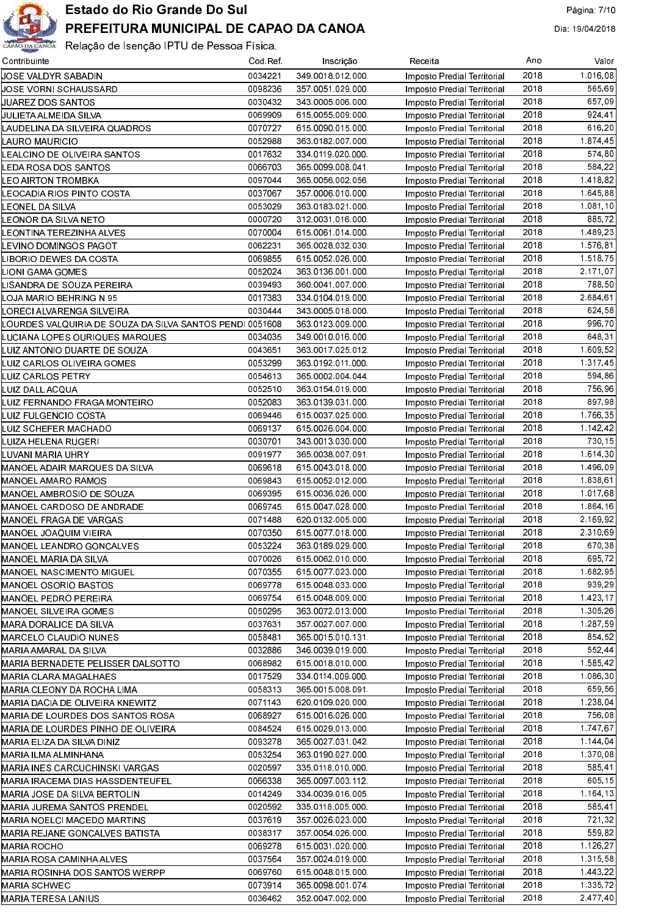

| Contribuinte                                             | Cod Ref | Inscrição        | Receita                     | Ano  | Valor                    |
|----------------------------------------------------------|---------|------------------|-----------------------------|------|--------------------------|
| JOSE VALDYR SABADIN                                      | 0034221 | 349 0018 012 000 | Imposto Predial Territorial | 2018 | 1.016,08                 |
| JOSE VORNI SCHAUSSARD                                    | 0098236 | 357 0051 029 000 | Imposto Predial Territorial | 2018 | 565.69                   |
| JUAREZ DOS SANTOS                                        | 0030432 | 343 0005 006 000 | Imposto Predial Territorial | 2018 | 657,09                   |
| JULIETA ALMEIDA SILVA                                    | 0069909 | 615 0055 009 000 | Imposto Predial Territorial | 2018 | 924 41                   |
| LAUDELINA DA SILVEIRA QUADROS                            | 0070727 | 615 0090 015 000 | Imposto Predial Territorial | 2018 | 616,20                   |
| LAURO MAURICIO                                           | 0052988 | 363 0182 007 000 | Imposto Predial Territorial | 2018 | 1 874 45                 |
| LEALCINO DE OLIVEIRA SANTOS                              | 0017632 | 334 0119 020 000 | Imposto Predial Territorial | 2018 | 574.80                   |
| LEDA ROSA DOS SANTOS                                     | 0066703 | 365 0099 008 041 | Imposto Predial Territorial | 2018 | 584.22                   |
| LEO AIRTON TROMBKA                                       | 0097044 | 365 0056 002 056 | Imposto Predial Territorial | 2018 | 1.418,82                 |
| LEOCADIA RIOS PINTO COSTA                                | 0037067 | 357 0006 010 000 | Imposto Predial Territorial | 2018 | 1.645,88                 |
| LEONEL DA SILVA                                          | 0053029 | 363 0183 021 000 | Imposto Predial Territorial | 2018 | 1.081, 10                |
| LEONOR DA SILVA NETO                                     | 0000720 | 312 0031 016 000 | Imposto Predial Territorial | 2018 | 885.72                   |
| LEONTINA TEREZINHA ALVES                                 | 0070004 | 615 0061 014 000 | Imposto Predial Territorial | 2018 | 1.489,23                 |
| LEVINO DOMINGOS PAGOT                                    | 0062231 | 365 0028 032 030 |                             | 2018 | 1.576,81                 |
| LIBORIO DEWES DA COSTA                                   | 0069855 | 615 0052 026 000 | Imposto Predial Territorial | 2018 | 1.518.75                 |
|                                                          |         | 363 0136 001 000 | Imposto Predial Territorial |      | $\overline{2}$ . 171, 07 |
| LIONI GAMA GOMES                                         | 0052024 |                  | Imposto Predial Territorial | 2018 |                          |
| LISANDRA DE SOUZA PEREIRA                                | 0039493 | 360 0041 007 000 | Imposto Predial Territorial | 2018 | 788,50                   |
| LOJA MARIO BEHRING N 95                                  | 0017383 | 334 0104 019 000 | Imposto Predial Territorial | 2018 | 2.684,61                 |
| LORECI ALVARENGA SILVEIRA                                | 0030444 | 343 0005 018 000 | Imposto Predial Territorial | 2018 | 624,58                   |
| LOURDES VALQUIRIA DE SOUZA DA SILVA SANTOS PENDI 0051608 |         | 363 0123 009 000 | Imposto Predial Territorial | 2018 | 996,70                   |
| LUCIANA LOPES OURIQUES MARQUES                           | 0034035 | 349 0010 016 000 | Imposto Predial Territorial | 2018 | 648,31                   |
| LUIZ ANTONIO DUARTE DE SOUZA                             | 0043651 | 363 0017 025 012 | Imposto Predial Territorial | 2018 | 1.609.52                 |
| LUIZ CARLOS OLIVEIRA GOMES                               | 0053299 | 363 0192 011 000 | Imposto Predial Territorial | 2018 | 1 317 45                 |
| LUIZ CARLOS PETRY                                        | 0054613 | 365 0002 004 044 | Imposto Predial Territorial | 2018 | 594,86                   |
| LUIZ DALL ACQUA                                          | 0052510 | 363 0154 019 000 | Imposto Predial Territorial | 2018 | 756,96                   |
| LUIZ FERNANDO FRAGA MONTEIRO                             | 0052083 | 363 0139 031 000 | Imposto Predial Territorial | 2018 | 897,98                   |
| LUIZ FULGENCIO COSTA                                     | 0069446 | 615 0037 025 000 | Imposto Predial Territorial | 2018 | 1766,35                  |
| LUIZ SCHEFER MACHADO                                     | 0069137 | 615 0026 004 000 | Imposto Predial Territorial | 2018 | 1.142, 42                |
| LUIZA HELENA RUGERI                                      | 0030701 | 343 0013 030 000 | Imposto Predial Territorial | 2018 | 730.15                   |
| LUVANI MARIA UHRY                                        | 0091977 | 365 0038 007 091 | Imposto Predial Territorial | 2018 | 1.614, 30                |
| MANOEL ADAIR MARQUES DA SILVA                            | 0069618 | 615 0043 018 000 | Imposto Predial Territorial | 2018 | 1.496,09                 |
| MANOEL AMARO RAMOS                                       | 0069843 | 615 0052 012 000 | Imposto Predial Territorial | 2018 | 1.838.61                 |
| MANOEL AMBROSIO DE SOUZA                                 | 0069395 | 615 0036 026 000 | Imposto Predial Territorial | 2018 | 1.017,68                 |
| MANOEL CARDOSO DE ANDRADE                                | 0069745 | 615 0047 028 000 | Imposto Predial Territorial | 2018 | 1.864,16                 |
| MANOEL FRAGA DE VARGAS                                   | 0071488 | 620 0132 005 000 | Imposto Predial Territorial | 2018 | 2.169.92                 |
| MANOEL JOAQUIM VIEIRA                                    | 0070350 | 615 0077 018 000 | Imposto Predial Territorial | 2018 | 2.310.69                 |
| MANOEL LEANDRO GONCALVES                                 | 0053224 | 363 0189 029 000 | Imposto Predial Territorial | 2018 | 670,38                   |
| MANOEL MARIA DA SILVA                                    | 0070026 | 615 0062 010 000 | Imposto Predial Territorial | 2018 | 695 72                   |
| MANOEL NASCIMENTO MIGUEL                                 | 0070355 | 615 0077 023 000 | Imposto Predial Territorial | 2018 | 1 682,95                 |
| MANOEL OSORIO BASTOS                                     | 0069778 | 615 0048 033 000 | Imposto Predial Territorial | 2018 | 939.29                   |
| MANOEL PEDRO PEREIRA                                     | 0069754 | 615 0048 009 000 | Imposto Predial Territorial | 2018 | 1.423, 17                |
| MANOEL SILVEIRA GOMES                                    | 0050295 | 363 0072 013 000 | Imposto Predial Territorial | 2018 | 1.305, 26                |
| MARA DORALICE DA SILVA                                   | 0037631 | 357 0027 007 000 | Imposto Predial Territorial | 2018 | 1.287,59                 |
| MARCELO CLAUDIO NUNES                                    | 0058481 | 365 0015 010 131 | Imposto Predial Territorial | 2018 | 854,52                   |
| MARIA AMARAL DA SILVA                                    | 0032886 | 346 0039 019 000 | Imposto Predial Territorial | 2018 | 552.44                   |
| MARIA BERNADETE PELISSER DALSOTTO                        | 0068982 | 615 0018 010 000 | Imposto Predial Territorial | 2018 | 1 585,42                 |
| MARIA CLARA MAGALHAES                                    |         | 334 0114 009 000 |                             | 2018 | 1.086,30                 |
|                                                          | 0017529 |                  | Imposto Predial Territorial | 2018 | 659.56                   |
| MARIA CLEONY DA ROCHA LIMA                               | 0058313 | 365 0015 008 091 | Imposto Predial Territorial |      |                          |
| MARIA DACIA DE OLIVEIRA KNEWITZ                          | 0071143 | 620 0109 020 000 | Imposto Predial Territorial | 2018 | 1 238 04                 |
| MARIA DE LOURDES DOS SANTOS ROSA                         | 0068927 | 615 0016 026 000 | Imposto Predial Territorial | 2018 | 756,08                   |
| MARIA DE LOURDES PINHO DE OLIVEIRA                       | 0084524 | 615 0029 013 000 | Imposto Predial Territorial | 2018 | 1 747 67                 |
| MARIA ELIZA DA SILVA DINIZ                               | 0093278 | 365 0027 031 042 | Imposto Predial Territorial | 2018 | 1.144,04                 |
| MARIA ILMA ALMINHANA                                     | 0053254 | 363 0190 027 000 | Imposto Predial Territorial | 2018 | 1.370,08                 |
| MARIA INES CARCUCHINSKI VARGAS                           | 0020597 | 335 0118 010 000 | Imposto Predial Territorial | 2018 | 585 41                   |
| MARIA IRACEMA DIAS HASSDENTEUFEL                         | 0066338 | 365 0097 003 112 | Imposto Predial Territorial | 2018 | 605.15                   |
| MARIA JOSE DA SILVA BERTOLIN                             | 0014249 | 334 0039 016 005 | Imposto Predial Territorial | 2018 | 1.164,13                 |
| MARIA JUREMA SANTOS PRENDEL                              | 0020592 | 335 0118 005 000 | Imposto Predial Territorial | 2018 | 585.41                   |
| MARIA NOELCI MACEDO MARTINS                              | 0037619 | 357 0026 023 000 | Imposto Predial Territorial | 2018 | 721.32                   |
| MARIA REJANE GONCALVES BATISTA                           | 0038317 | 357 0054 026 000 | Imposto Predial Territorial | 2018 | 559,82                   |
| MARIA ROCHO                                              | 0069278 | 615 0031 020 000 | Imposto Predial Territorial | 2018 | 1.126,27                 |
| MARIA ROSA CAMINHA ALVES                                 | 0037564 | 357 0024 019 000 | Imposto Predial Territorial | 2018 | 1.315,58                 |
| MARIA ROSINHA DOS SANTOS WERPP                           | 0069760 | 615 0048 015 000 | Imposto Predial Territorial | 2018 | 1.443,22                 |
| MARIA SCHWEC                                             | 0073914 | 365 0098 001 074 | Imposto Predial Territorial | 2018 | 1.335,72                 |
| MARIA TERESA LANIUS                                      | 0036462 | 352 0047 002 000 | Imposto Predial Territorial | 2018 | 2.477.40                 |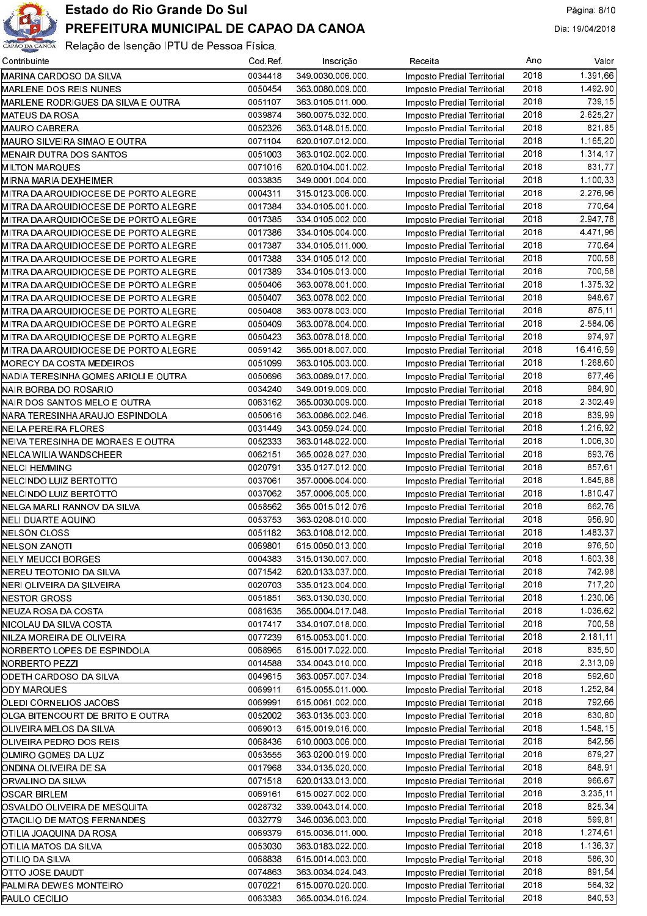

| Contribuinte                          | Cod Ref | Inscrição        | Receita                                                    | Ano  | Valor     |
|---------------------------------------|---------|------------------|------------------------------------------------------------|------|-----------|
| MARINA CARDOSO DA SILVA               | 0034418 | 349 0030 006 000 | Imposto Predial Territorial                                | 2018 | 1.391,66  |
| <b>MARLENE DOS REIS NUNES</b>         | 0050454 | 363 0080 009 000 | Imposto Predial Territorial                                | 2018 | 1.492.90  |
| MARLENE RODRIGUES DA SILVA E OUTRA    | 0051107 | 363 0105 011 000 | Imposto Predial Territorial                                | 2018 | 739.15    |
| MATEUS DA ROSA                        | 0039874 | 360 0075 032 000 | Imposto Predial Territorial                                | 2018 | 2 625 27  |
| MAURO CABRERA                         | 0052326 | 363 0148 015 000 | Imposto Predial Territorial                                | 2018 | 821,85    |
| MAURO SILVEIRA SIMAO E OUTRA          | 0071104 | 620 0107 012 000 | Imposto Predial Territorial                                | 2018 | 1.165,20  |
| MENAIR DUTRA DOS SANTOS               | 0051003 | 363 0102 002 000 | Imposto Predial Territorial                                | 2018 | 1.314,17  |
| MILTON MARQUES                        | 0071016 | 620 0104 001 002 | Imposto Predial Territorial                                | 2018 | 831,77    |
| MIRNA MARIA DEXHEIMER                 | 0033835 | 349 0001 004 000 | Imposto Predial Territorial                                | 2018 | 1.100,33  |
| MITRA DA ARQUIDIOCESE DE PORTO ALEGRE | 0004311 | 315 0123 006 000 | Imposto Predial Territorial                                | 2018 | 2.276.96  |
| MITRA DA ARQUIDIOCESE DE PORTO ALEGRE | 0017384 | 334 0105 001 000 | Imposto Predial Territorial                                | 2018 | 770,64    |
| MITRA DA ARQUIDIOCESE DE PORTO ALEGRE | 0017385 | 334 0105 002 000 | Imposto Predial Territorial                                | 2018 | 2 947 78  |
| MITRA DA ARQUIDIOCESE DE PORTO ALEGRE | 0017386 | 334 0105 004 000 |                                                            | 2018 | 4 471 96  |
|                                       | 0017387 | 334 0105 011 000 | Imposto Predial Territorial                                | 2018 | 770,64    |
| MITRA DA ARQUIDIOCESE DE PORTO ALEGRE |         |                  | Imposto Predial Territorial                                | 2018 |           |
| MITRA DA ARQUIDIOCESE DE PORTO ALEGRE | 0017388 | 334 0105 012 000 | Imposto Predial Territorial                                |      | 700,58    |
| MITRA DA ARQUIDIOCESE DE PORTO ALEGRE | 0017389 | 334 0105 013 000 | Imposto Predial Territorial                                | 2018 | 700,58    |
| MITRA DA ARQUIDIOCESE DE PORTO ALEGRE | 0050406 | 363 0078 001 000 | Imposto Predial Territorial                                | 2018 | 1.375,32  |
| MITRA DA ARQUIDIOCESE DE PORTO ALEGRE | 0050407 | 363 0078 002 000 | Imposto Predial Territorial                                | 2018 | 948.67    |
| MITRA DA ARQUIDIOCESE DE PORTO ALEGRE | 0050408 | 363 0078 003 000 | Imposto Predial Territorial                                | 2018 | 875.11    |
| MITRA DA ARQUIDIOCESE DE PORTO ALEGRE | 0050409 | 363 0078 004 000 | Imposto Predial Territorial                                | 2018 | 2.584,06  |
| MITRA DA ARQUIDIOCESE DE PORTO ALEGRE | 0050423 | 363 0078 018 000 | Imposto Predial Territorial                                | 2018 | 974.97    |
| MITRA DA ARQUIDIOCESE DE PORTO ALEGRE | 0059142 | 365 0018 007 000 | Imposto Predial Territorial                                | 2018 | 16416.59  |
| MORECY DA COSTA MEDEIROS              | 0051099 | 363 0105 003 000 | Imposto Predial Territorial                                | 2018 | 1.268.60  |
| NADIA TERESINHA GOMES ARIOLI E OUTRA  | 0050696 | 363 0089 017 000 | Imposto Predial Territorial                                | 2018 | 677,46    |
| NAIR BORBA DO ROSARIO                 | 0034240 | 349 0019 009 000 | Imposto Predial Territorial                                | 2018 | 984.90    |
| NAIR DOS SANTOS MELO E OUTRA          | 0063162 | 365 0030 009 000 | Imposto Predial Territorial                                | 2018 | 2.302,49  |
| NARA TERESINHA ARAUJO ESPINDOLA       | 0050616 | 363 0086 002 046 | Imposto Predial Territorial                                | 2018 | 839.99    |
| NEILA PEREIRA FLORES                  | 0031449 | 343 0059 024 000 | Imposto Predial Territorial                                | 2018 | 1.216,92  |
| NEIVA TERESINHA DE MORAES E OUTRA     | 0052333 | 363 0148 022 000 | Imposto Predial Territorial                                | 2018 | 1.006.30  |
| NELCA WILIA WANDSCHEER                | 0062151 | 365 0028 027 030 | Imposto Predial Territorial                                | 2018 | 693.76    |
| NELCI HEMMING                         | 0020791 | 335 0127 012 000 | Imposto Predial Territorial                                | 2018 | 857.61    |
| NELCINDO LUIZ BERTOTTO                | 0037061 | 357 0006 004 000 | Imposto Predial Territorial                                | 2018 | 1.645,88  |
| NELCINDO LUIZ BERTOTTO                | 0037062 | 357 0006 005 000 | Imposto Predial Territorial                                | 2018 | 1.810,47  |
| NELGA MARLI RANNOV DA SILVA           | 0058562 | 365 0015 012 076 | Imposto Predial Territorial                                | 2018 | 662.76    |
| NELI DUARTE AQUINO                    | 0053753 | 363 0208 010 000 | Imposto Predial Territorial                                | 2018 | 956.90    |
| NELSON CLOSS                          | 0051182 | 363 0108 012 000 | Imposto Predial Territorial                                | 2018 | 1.483.37  |
| NELSON ZANOTI                         | 0069801 | 615 0050 013 000 | Imposto Predial Territorial                                | 2018 | 976,50    |
| NELY MEUCCI BORGES                    | 0004383 | 315 0130 007 000 | Imposto Predial Territorial                                | 2018 | 1.603,38  |
| NEREU TEOTONIO DA SILVA               | 0071542 | 620 0133 037 000 |                                                            | 2018 | 742,98    |
|                                       | 0020703 |                  | Imposto Predial Territorial<br>Imposto Predial Territorial | 2018 | 717,20    |
| NERI OLIVEIRA DA SILVEIRA             | 0051851 | 335 0123 004 000 |                                                            | 2018 | 1.230.06  |
| NESTOR GROSS                          |         | 363 0130 030 000 | Imposto Predial Territorial                                | 2018 | 1.036.62  |
| NEUZA ROSA DA COSTA                   | 0081635 | 365 0004 017 048 | Imposto Predial Territorial                                |      |           |
| NICOLAU DA SILVA COSTA                | 0017417 | 334 0107 018 000 | Imposto Predial Territorial                                | 2018 | 700,58    |
| NILZA MOREIRA DE OLIVEIRA             | 0077239 | 615 0053 001 000 | Imposto Predial Territorial                                | 2018 | 2.181,11  |
| NORBERTO LOPES DE ESPINDOLA           | 0068965 | 615 0017 022 000 | Imposto Predial Territorial                                | 2018 | 835,50    |
| NORBERTO PEZZI                        | 0014588 | 334 0043 010 000 | Imposto Predial Territorial                                | 2018 | 2.313,09  |
| ODETH CARDOSO DA SILVA                | 0049615 | 363 0057 007 034 | Imposto Predial Territorial                                | 2018 | 592,60    |
| ODY MARQUES                           | 0069911 | 615 0055 011 000 | Imposto Predial Territorial                                | 2018 | 1.252,84  |
| OLEDI CORNELIOS JACOBS                | 0069991 | 615 0061 002 000 | Imposto Predial Territorial                                | 2018 | 792,66    |
| OLGA BITENCOURT DE BRITO E OUTRA      | 0052002 | 363 0135 003 000 | Imposto Predial Territorial                                | 2018 | 630,80    |
| OLIVEIRA MELOS DA SILVA               | 0069013 | 615 0019 016 000 | Imposto Predial Territorial                                | 2018 | 1.548, 15 |
| OLIVEIRA PEDRO DOS REIS               | 0068436 | 610 0003 006 000 | Imposto Predial Territorial                                | 2018 | 642,56    |
| OLMIRO GOMES DA LUZ                   | 0053555 | 363 0200 019 000 | Imposto Predial Territorial                                | 2018 | 679.27    |
| ONDINA OLIVEIRA DE SA                 | 0017968 | 334 0135 020 000 | Imposto Predial Territorial                                | 2018 | 648.91    |
| ORVALINO DA SILVA                     | 0071518 | 620 0133 013 000 | Imposto Predial Territorial                                | 2018 | 966,67    |
| OSCAR BIRLEM                          | 0069161 | 615 0027 002 000 | Imposto Predial Territorial                                | 2018 | 3.235,11  |
| OSVALDO OLIVEIRA DE MESQUITA          | 0028732 | 339 0043 014 000 | Imposto Predial Territorial                                | 2018 | 825,34    |
| OTACILIO DE MATOS FERNANDES           | 0032779 | 346 0036 003 000 | Imposto Predial Territorial                                | 2018 | 599,81    |
| OTILIA JOAQUINA DA ROSA               | 0069379 | 615 0036 011 000 | Imposto Predial Territorial                                | 2018 | 1.274,61  |
| OTILIA MATOS DA SILVA                 | 0053030 | 363 0183 022 000 | Imposto Predial Territorial                                | 2018 | 1.136,37  |
| OTILIO DA SILVA                       | 0068838 | 615 0014 003 000 | Imposto Predial Territorial                                | 2018 | 586,30    |
| OTTO JOSE DAUDT                       | 0074863 | 363 0034 024 043 | Imposto Predial Territorial                                | 2018 | 891,54    |
| PALMIRA DEWES MONTEIRO                | 0070221 | 615 0070 020 000 | Imposto Predial Territorial                                | 2018 | 564,32    |
| PAULO CECILIO                         | 0063383 | 365 0034 016 024 | Imposto Predial Territorial                                | 2018 | 840.53    |
|                                       |         |                  |                                                            |      |           |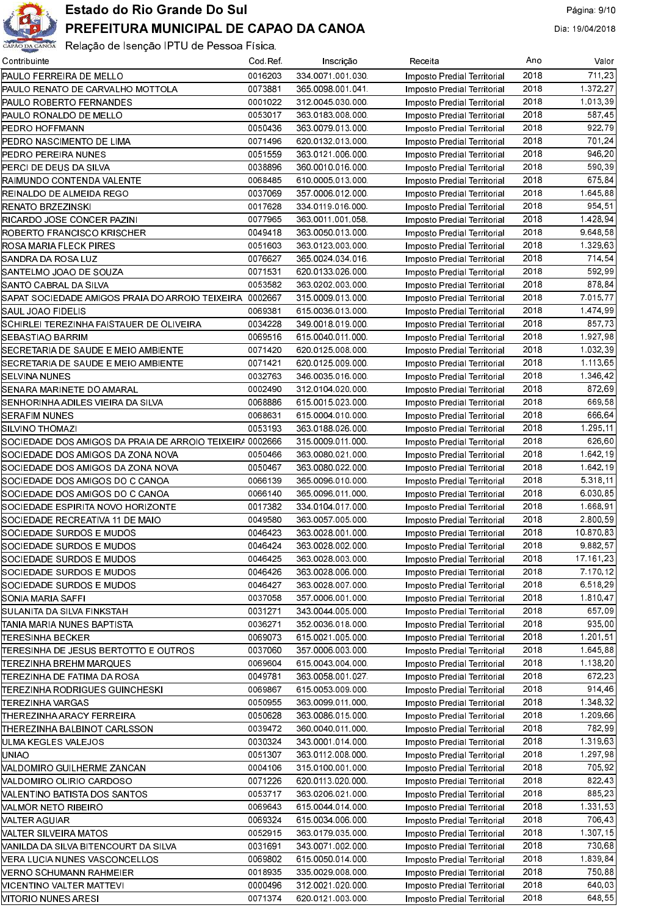

| Contribuinte                                             | Cod Ref | Inscrição        | Receita                     | Ano  | Valor     |
|----------------------------------------------------------|---------|------------------|-----------------------------|------|-----------|
| PAULO FERREIRA DE MELLO                                  | 0016203 | 334 0071 001 030 | Imposto Predial Territorial | 2018 | 711,23    |
| PAULO RENATO DE CARVALHO MOTTOLA                         | 0073881 | 365 0098 001 041 | Imposto Predial Territorial | 2018 | 1 372 27  |
| PAULO ROBERTO FERNANDES                                  | 0001022 | 312 0045 030 000 | Imposto Predial Territorial | 2018 | 1.013.39  |
| PAULO RONALDO DE MELLO                                   | 0053017 | 363 0183 008 000 | Imposto Predial Territorial | 2018 | 587.45    |
| PEDRO HOFFMANN                                           | 0050436 | 363 0079 013 000 | Imposto Predial Territorial | 2018 | 922.79    |
| PEDRO NASCIMENTO DE LIMA                                 | 0071496 | 620 0132 013 000 | Imposto Predial Territorial | 2018 | 701.24    |
| PEDRO PEREIRA NUNES                                      | 0051559 | 363 0121 006 000 | Imposto Predial Territorial | 2018 | 946,20    |
| PERCI DE DEUS DA SILVA                                   | 0038896 | 360 0010 016 000 | Imposto Predial Territorial | 2018 | 590 39    |
| RAIMUNDO CONTENDA VALENTE                                | 0068485 | 610 0005 013 000 | Imposto Predial Territorial | 2018 | 675.84    |
| REINALDO DE ALMEIDA REGO                                 | 0037069 | 357 0006 012 000 | Imposto Predial Territorial | 2018 | 1.645,88  |
| RENATO BRZEZINSKI                                        | 0017628 | 334 0119 016 000 | Imposto Predial Territorial | 2018 | 954.51    |
| RICARDO JOSE CONCER PAZINI                               | 0077965 | 363 0011 001 058 | Imposto Predial Territorial | 2018 | 1.428,94  |
| ROBERTO FRANCISCO KRISCHER                               | 0049418 | 363 0050 013 000 | Imposto Predial Territorial | 2018 | 9.648,58  |
| ROSA MARIA FLECK PIRES                                   | 0051603 | 363 0123 003 000 | Imposto Predial Territorial | 2018 | 1 329 63  |
| SANDRA DA ROSA LUZ                                       | 0076627 | 365 0024 034 016 | Imposto Predial Territorial | 2018 | 714 54    |
| SANTELMO JOAO DE SOUZA                                   | 0071531 | 620 0133 026 000 | Imposto Predial Territorial | 2018 | 592.99    |
| SANTO CABRAL DA SILVA                                    | 0053582 | 363 0202 003 000 | Imposto Predial Territorial | 2018 | 878.84    |
| SAPAT SOCIEDADE AMIGOS PRAIA DO ARROIO TEIXEIRA  0002667 |         | 315 0009 013 000 | Imposto Predial Territorial | 2018 | 7 015 77  |
| SAUL JOAO FIDELIS                                        | 0069381 | 615 0036 013 000 | Imposto Predial Territorial | 2018 | 1474.99   |
| SCHIRLEI TEREZINHA FAISTAUER DE OLIVEIRA                 | 0034228 | 349 0018 019 000 | Imposto Predial Territorial | 2018 | 857 73    |
| SEBASTIAO BARRIM                                         | 0069516 | 615 0040 011 000 | Imposto Predial Territorial | 2018 | 1.927,98  |
| SECRETARIA DE SAUDE E MEIO AMBIENTE                      | 0071420 | 620 0125 008 000 | Imposto Predial Territorial | 2018 | 1.032.39  |
| SECRETARIA DE SAUDE E MEIO AMBIENTE                      | 0071421 | 620 0125 009 000 |                             | 2018 | 1.113.65  |
|                                                          | 0032763 | 346 0035 016 000 | Imposto Predial Territorial | 2018 | 1.346.42  |
| SELVINA NUNES<br>SENARA MARINETE DO AMARAL               | 0002490 | 312 0104 020 000 | Imposto Predial Territorial | 2018 | 872.69    |
|                                                          |         |                  | Imposto Predial Territorial | 2018 |           |
| SENHORINHA ADILES VIEIRA DA SILVA                        | 0068886 | 615 0015 023 000 | Imposto Predial Territorial |      | 669.58    |
| SERAFIM NUNES                                            | 0068631 | 615 0004 010 000 | Imposto Predial Territorial | 2018 | 666.64    |
| SILVINO THOMAZI                                          | 0053193 | 363 0188 026 000 | Imposto Predial Territorial | 2018 | 1.295,11  |
| SOCIEDADE DOS AMIGOS DA PRAIA DE ARROIO TEIXEIR/ 0002666 |         | 315 0009 011 000 | Imposto Predial Territorial | 2018 | 626.60    |
| SOCIEDADE DOS AMIGOS DA ZONA NOVA                        | 0050466 | 363 0080 021 000 | Imposto Predial Territorial | 2018 | 1.642,19  |
| SOCIEDADE DOS AMIGOS DA ZONA NOVA                        | 0050467 | 363 0080 022 000 | Imposto Predial Territorial | 2018 | 1.642,19  |
| SOCIEDADE DOS AMIGOS DO C CANOA                          | 0066139 | 365 0096 010 000 | Imposto Predial Territorial | 2018 | 5 318 11  |
| SOCIEDADE DOS AMIGOS DO C CANOA                          | 0066140 | 365 0096 011 000 | Imposto Predial Territorial | 2018 | 6.030.85  |
| SOCIEDADE ESPIRITA NOVO HORIZONTE                        | 0017382 | 334 0104 017 000 | Imposto Predial Territorial | 2018 | 1.668,91  |
| SOCIEDADE RECREATIVA 11 DE MAIO                          | 0049580 | 363 0057 005 000 | Imposto Predial Territorial | 2018 | 2.800.59  |
| SOCIEDADE SURDOS E MUDOS                                 | 0046423 | 363 0028 001 000 | Imposto Predial Territorial | 2018 | 10 870 83 |
| SOCIEDADE SURDOS E MUDOS                                 | 0046424 | 363 0028 002 000 | Imposto Predial Territorial | 2018 | 9 882 57  |
| SOCIEDADE SURDOS E MUDOS                                 | 0046425 | 363 0028 003 000 | Imposto Predial Territorial | 2018 | 17.161.23 |
| SOCIEDADE SURDOS E MUDOS                                 | 0046426 | 363 0028 006 000 | Imposto Predial Territorial | 2018 | 7.170,12  |
| SOCIEDADE SURDOS E MUDOS                                 | 0046427 | 363 0028 007 000 | Imposto Predial Territorial | 2018 | 6.518.29  |
| SONIA MARIA SAFFI                                        | 0037058 | 357 0006 001 000 | Imposto Predial Territorial | 2018 | 1 810 47  |
| SULANITA DA SILVA FINKSTAH                               | 0031271 | 343 0044 005 000 | Imposto Predial Territorial | 2018 | 657.09    |
| ITANIA MARIA NUNES BAPTISTA                              | 0036271 | 352 0036 018 000 | Imposto Predial Territorial | 2018 | 935.00    |
| TERESINHA BECKER                                         | 0069073 | 615 0021 005 000 | Imposto Predial Territorial | 2018 | 1.201.51  |
| TERESINHA DE JESUS BERTOTTO E OUTROS                     | 0037060 | 357 0006 003 000 | Imposto Predial Territorial | 2018 | 1 645 88  |
| TEREZINHA BREHM MARQUES                                  | 0069604 | 615 0043 004 000 | Imposto Predial Territorial | 2018 | 1.138.20  |
| TEREZINHA DE FATIMA DA ROSA                              | 0049781 | 363 0058 001 027 | Imposto Predial Territorial | 2018 | 672.23    |
| TEREZINHA RODRIGUES GUINCHESKI                           | 0069867 | 615 0053 009 000 | Imposto Predial Territorial | 2018 | 914.46    |
| TEREZINHA VARGAS                                         | 0050955 | 363 0099 011 000 | Imposto Predial Territorial | 2018 | 1.348,32  |
| THEREZINHA ARACY FERREIRA                                | 0050628 | 363 0086 015 000 | Imposto Predial Territorial | 2018 | 1 209.66  |
| THEREZINHA BALBINOT CARLSSON                             | 0039472 | 360 0040 011 000 | Imposto Predial Territorial | 2018 | 782.99    |
| ULMA KEGLES VALEJOS                                      | 0030324 | 343.0001.014.000 | Imposto Predial Territorial | 2018 | 1.319,63  |
| UNIAO                                                    | 0051307 | 363 0112 008 000 | Imposto Predial Territorial | 2018 | 1.297.98  |
| VALDOMIRO GUILHERME ZANCAN                               | 0004106 | 315.0100.001.000 | Imposto Predial Territorial | 2018 | 705.92    |
| VALDOMIRO OLIRIO CARDOSO                                 | 0071226 | 620 0113 020 000 | Imposto Predial Territorial | 2018 | 822.43    |
| NALENTINO BATISTA DOS SANTOS                             | 0053717 | 363 0206 021 000 | Imposto Predial Territorial | 2018 | 885.23    |
| VALMOR NETO RIBEIRO                                      | 0069643 | 615 0044 014 000 | Imposto Predial Territorial | 2018 | 1.331,53  |
| VALTER AGUIAR                                            | 0069324 | 615 0034 006 000 | Imposto Predial Territorial | 2018 | 706.43    |
| VALTER SILVEIRA MATOS                                    | 0052915 | 363 0179 035 000 | Imposto Predial Territorial | 2018 | 1.307.15  |
| VANILDA DA SILVA BITENCOURT DA SILVA                     | 0031691 | 343 0071 002 000 | Imposto Predial Territorial | 2018 | 730.68    |
| <b>VERA LUCIA NUNES VASCONCELLOS</b>                     | 0069802 | 615 0050 014 000 | Imposto Predial Territorial | 2018 | 1.839.84  |
| <b>VERNO SCHUMANN RAHMEIER</b>                           | 0018935 | 335 0029 008 000 | Imposto Predial Territorial | 2018 | 750.88    |
| <b>NICENTINO VALTER MATTEVI</b>                          | 0000496 | 312.0021.020.000 | Imposto Predial Territorial | 2018 | 640.03    |
| INITORIO NUNES ARESI                                     | 0071374 | 620 0121 003 000 | Imposto Predial Territorial | 2018 | 648.55    |